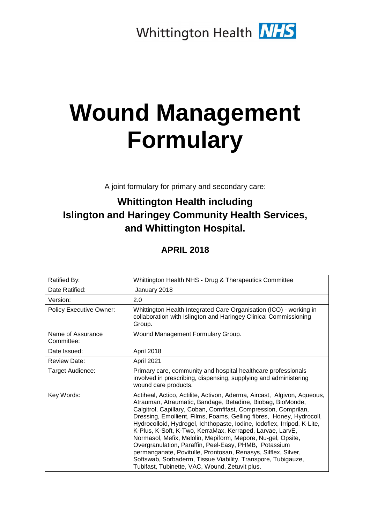# **Wound Management Formulary**

A joint formulary for primary and secondary care:

# **Whittington Health including Islington and Haringey Community Health Services, and Whittington Hospital.**

**APRIL 2018** 

| Ratified By:                    | Whittington Health NHS - Drug & Therapeutics Committee                                                                                                                                                                                                                                                                                                                                                                                                                                                                                                                                                                                                                                                                              |
|---------------------------------|-------------------------------------------------------------------------------------------------------------------------------------------------------------------------------------------------------------------------------------------------------------------------------------------------------------------------------------------------------------------------------------------------------------------------------------------------------------------------------------------------------------------------------------------------------------------------------------------------------------------------------------------------------------------------------------------------------------------------------------|
| Date Ratified:                  | January 2018                                                                                                                                                                                                                                                                                                                                                                                                                                                                                                                                                                                                                                                                                                                        |
| Version:                        | 2.0                                                                                                                                                                                                                                                                                                                                                                                                                                                                                                                                                                                                                                                                                                                                 |
| <b>Policy Executive Owner:</b>  | Whittington Health Integrated Care Organisation (ICO) - working in<br>collaboration with Islington and Haringey Clinical Commissioning<br>Group.                                                                                                                                                                                                                                                                                                                                                                                                                                                                                                                                                                                    |
| Name of Assurance<br>Committee: | Wound Management Formulary Group.                                                                                                                                                                                                                                                                                                                                                                                                                                                                                                                                                                                                                                                                                                   |
| Date Issued:                    | April 2018                                                                                                                                                                                                                                                                                                                                                                                                                                                                                                                                                                                                                                                                                                                          |
| <b>Review Date:</b>             | April 2021                                                                                                                                                                                                                                                                                                                                                                                                                                                                                                                                                                                                                                                                                                                          |
| Target Audience:                | Primary care, community and hospital healthcare professionals<br>involved in prescribing, dispensing, supplying and administering<br>wound care products.                                                                                                                                                                                                                                                                                                                                                                                                                                                                                                                                                                           |
| Key Words:                      | Actiheal, Actico, Actilite, Activon, Aderma, Aircast, Algivon, Aqueous,<br>Atrauman, Atraumatic, Bandage, Betadine, Biobag, BioMonde,<br>Calgitrol, Capillary, Coban, Comfifast, Compression, Comprilan,<br>Dressing, Emollient, Films, Foams, Gelling fibres, Honey, Hydrocoll,<br>Hydrocolloid, Hydrogel, Ichthopaste, Iodine, Iodoflex, Irripod, K-Lite,<br>K-Plus, K-Soft, K-Two, KerraMax, Kerraped, Larvae, LarvE,<br>Normasol, Mefix, Melolin, Mepiform, Mepore, Nu-gel, Opsite,<br>Overgranulation, Paraffin, Peel-Easy, PHMB, Potassium<br>permanganate, Povitulle, Prontosan, Renasys, Silflex, Silver,<br>Softswab, Sorbaderm, Tissue Viability, Transpore, Tubigauze,<br>Tubifast, Tubinette, VAC, Wound, Zetuvit plus. |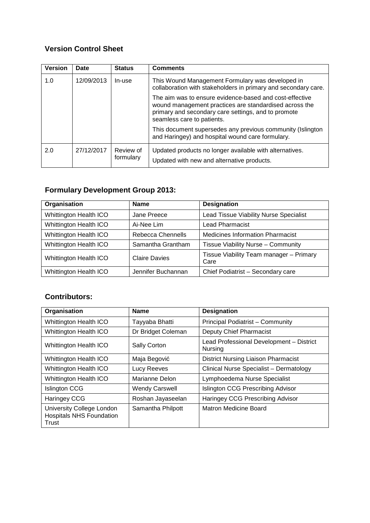# **Version Control Sheet**

| <b>Version</b> | Date       | <b>Status</b>          | <b>Comments</b>                                                                                                                                                                                        |
|----------------|------------|------------------------|--------------------------------------------------------------------------------------------------------------------------------------------------------------------------------------------------------|
| 1.0            | 12/09/2013 | In-use                 | This Wound Management Formulary was developed in<br>collaboration with stakeholders in primary and secondary care.                                                                                     |
|                |            |                        | The aim was to ensure evidence-based and cost-effective<br>wound management practices are standardised across the<br>primary and secondary care settings, and to promote<br>seamless care to patients. |
|                |            |                        | This document supersedes any previous community (Islington<br>and Haringey) and hospital wound care formulary.                                                                                         |
| 2.0            | 27/12/2017 | Review of<br>formulary | Updated products no longer available with alternatives.<br>Updated with new and alternative products.                                                                                                  |

# **Formulary Development Group 2013:**

| Organisation                  | <b>Name</b>          | <b>Designation</b>                              |  |  |  |
|-------------------------------|----------------------|-------------------------------------------------|--|--|--|
| Whittington Health ICO        | Jane Preece          | Lead Tissue Viability Nurse Specialist          |  |  |  |
| Whittington Health ICO        | Ai-Nee Lim           | <b>Lead Pharmacist</b>                          |  |  |  |
| Whittington Health ICO        | Rebecca Chennells    | <b>Medicines Information Pharmacist</b>         |  |  |  |
| Whittington Health ICO        | Samantha Grantham    | Tissue Viability Nurse - Community              |  |  |  |
| Whittington Health ICO        | <b>Claire Davies</b> | Tissue Viability Team manager - Primary<br>Care |  |  |  |
| <b>Whittington Health ICO</b> | Jennifer Buchannan   | Chief Podiatrist - Secondary care               |  |  |  |

# **Contributors:**

| Organisation                                                          | <b>Name</b>           | <b>Designation</b>                                  |
|-----------------------------------------------------------------------|-----------------------|-----------------------------------------------------|
| <b>Whittington Health ICO</b>                                         | Tayyaba Bhatti        | Principal Podiatrist - Community                    |
| <b>Whittington Health ICO</b>                                         | Dr Bridget Coleman    | <b>Deputy Chief Pharmacist</b>                      |
| <b>Whittington Health ICO</b>                                         | <b>Sally Corton</b>   | Lead Professional Development - District<br>Nursing |
| <b>Whittington Health ICO</b>                                         | Maja Begović          | <b>District Nursing Liaison Pharmacist</b>          |
| <b>Whittington Health ICO</b>                                         | Lucy Reeves           | Clinical Nurse Specialist - Dermatology             |
| <b>Whittington Health ICO</b>                                         | Marianne Delon        | Lymphoedema Nurse Specialist                        |
| <b>Islington CCG</b>                                                  | <b>Wendy Carswell</b> | Islington CCG Prescribing Advisor                   |
| Haringey CCG                                                          | Roshan Jayaseelan     | Haringey CCG Prescribing Advisor                    |
| University College London<br><b>Hospitals NHS Foundation</b><br>Trust | Samantha Philpott     | Matron Medicine Board                               |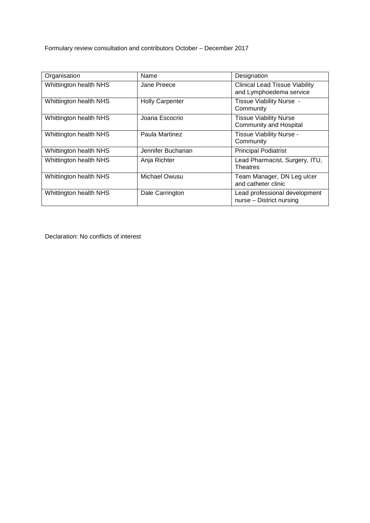Formulary review consultation and contributors October – December 2017

| Organisation                  | Name                   | Designation                                                      |
|-------------------------------|------------------------|------------------------------------------------------------------|
| Whittington health NHS        | Jane Preece            | <b>Clinical Lead Tissue Viability</b><br>and Lymphoedema service |
| Whittington health NHS        | <b>Holly Carpenter</b> | Tissue Viability Nurse -<br>Community                            |
| Whittington health NHS        | Joana Escocrio         | <b>Tissue Viability Nurse</b><br><b>Community and Hospital</b>   |
| Whittington health NHS        | Paula Martinez         | Tissue Viability Nurse -<br>Community                            |
| Whittington health NHS        | Jennifer Buchanan      | <b>Principal Podiatrist</b>                                      |
| <b>Whittington health NHS</b> | Anja Richter           | Lead Pharmacist, Surgery, ITU,<br><b>Theatres</b>                |
| Whittington health NHS        | Michael Owusu          | Team Manager, DN Leg ulcer<br>and catheter clinic                |
| Whittington health NHS        | Dale Carrington        | Lead professional development<br>nurse - District nursing        |

Declaration: No conflicts of interest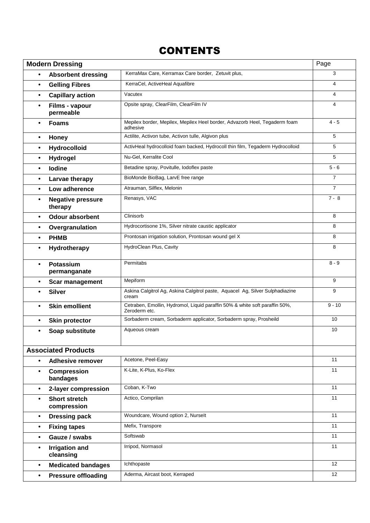# **CONTENTS**

|           | <b>Modern Dressing</b>                                                                                  |                                                                                              | Page           |  |  |  |  |
|-----------|---------------------------------------------------------------------------------------------------------|----------------------------------------------------------------------------------------------|----------------|--|--|--|--|
| $\bullet$ | <b>Absorbent dressing</b>                                                                               | KerraMax Care, Kerramax Care border, Zetuvit plus,                                           | 3              |  |  |  |  |
| $\bullet$ | <b>Gelling Fibres</b>                                                                                   | KerraCel, ActiveHeal Aquafibre                                                               | 4              |  |  |  |  |
| $\bullet$ | <b>Capillary action</b>                                                                                 | Vacutex                                                                                      |                |  |  |  |  |
| $\bullet$ | Films - vapour<br>permeable                                                                             | Opsite spray, ClearFilm, ClearFilm IV                                                        | 4              |  |  |  |  |
| $\bullet$ | Mepilex border, Mepilex, Mepilex Heel border, Advazorb Heel, Tegaderm foam<br><b>Foams</b><br>adhesive  |                                                                                              |                |  |  |  |  |
| $\bullet$ | <b>Honey</b>                                                                                            | Actilite, Activon tube, Activon tulle, Algivon plus                                          | 5              |  |  |  |  |
| $\bullet$ | Hydrocolloid                                                                                            | ActivHeal hydrocolloid foam backed, Hydrocoll thin film, Tegaderm Hydrocolloid               | 5              |  |  |  |  |
| $\bullet$ | Hydrogel                                                                                                | Nu-Gel, Kerralite Cool                                                                       | 5              |  |  |  |  |
| $\bullet$ | lodine                                                                                                  | Betadine spray, Povitulle, Iodoflex paste                                                    | $5 - 6$        |  |  |  |  |
| $\bullet$ | Larvae therapy                                                                                          | BioMonde BioBag, LarvE free range                                                            | $\overline{7}$ |  |  |  |  |
| $\bullet$ | Low adherence                                                                                           | Atrauman, Silflex, Melonin                                                                   | $\overline{7}$ |  |  |  |  |
| $\bullet$ | <b>Negative pressure</b><br>therapy                                                                     | Renasys, VAC                                                                                 | $7 - 8$        |  |  |  |  |
| $\bullet$ | <b>Odour absorbent</b>                                                                                  | Clinisorb                                                                                    | 8              |  |  |  |  |
| $\bullet$ | Overgranulation                                                                                         | Hydrocortisone 1%, Silver nitrate caustic applicator                                         | 8              |  |  |  |  |
| $\bullet$ | <b>PHMB</b>                                                                                             | Prontosan irrigation solution, Prontosan wound gel X                                         | 8              |  |  |  |  |
| $\bullet$ | HydroClean Plus, Cavity<br>Hydrotherapy                                                                 |                                                                                              |                |  |  |  |  |
|           | Potassium<br>permanganate                                                                               | Permitabs                                                                                    | $8 - 9$        |  |  |  |  |
| $\bullet$ | <b>Scar management</b>                                                                                  | Mepiform                                                                                     | 9              |  |  |  |  |
|           | Askina Calgitrol Ag, Askina Calgitrol paste, Aquacel Ag, Silver Sulphadiazine<br><b>Silver</b><br>cream |                                                                                              |                |  |  |  |  |
| $\bullet$ | <b>Skin emollient</b>                                                                                   | Cetraben, Emollin, Hydromol, Liquid paraffin 50% & white soft paraffin 50%,<br>Zeroderm etc. | $9 - 10$       |  |  |  |  |
| $\bullet$ | <b>Skin protector</b>                                                                                   | Sorbaderm cream, Sorbaderm applicator, Sorbaderm spray, Prosheild                            | 10             |  |  |  |  |
| $\bullet$ | Soap substitute                                                                                         | Aqueous cream                                                                                | 10             |  |  |  |  |
|           | <b>Associated Products</b>                                                                              |                                                                                              |                |  |  |  |  |
| $\bullet$ | <b>Adhesive remover</b>                                                                                 | Acetone, Peel-Easy                                                                           | 11             |  |  |  |  |
| $\bullet$ | <b>Compression</b><br>bandages                                                                          | K-Lite, K-Plus, Ko-Flex                                                                      | 11             |  |  |  |  |
| $\bullet$ | 2-layer compression                                                                                     | Coban, K-Two                                                                                 | 11             |  |  |  |  |
| $\bullet$ | <b>Short stretch</b><br>compression                                                                     | Actico, Comprilan                                                                            | 11             |  |  |  |  |
| $\bullet$ | <b>Dressing pack</b>                                                                                    | Woundcare, Wound option 2, Nurselt                                                           | 11             |  |  |  |  |
| $\bullet$ | <b>Fixing tapes</b>                                                                                     | Mefix, Transpore                                                                             | 11             |  |  |  |  |
| $\bullet$ | Gauze / swabs                                                                                           | Softswab                                                                                     | 11             |  |  |  |  |
| $\bullet$ | <b>Irrigation and</b><br>cleansing                                                                      | Irripod, Normasol                                                                            | 11             |  |  |  |  |
| $\bullet$ | <b>Medicated bandages</b>                                                                               | Ichthopaste                                                                                  | 12             |  |  |  |  |
| $\bullet$ | <b>Pressure offloading</b>                                                                              | Aderma, Aircast boot, Kerraped                                                               | 12             |  |  |  |  |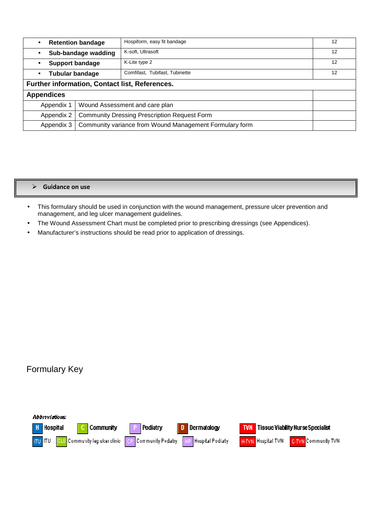| <b>Retention bandage</b><br>$\bullet$                                 |                                | Hospiform, easy fit bandage    | 12 |  |  |
|-----------------------------------------------------------------------|--------------------------------|--------------------------------|----|--|--|
| Sub-bandage wadding<br>$\bullet$                                      |                                | K-soft, Ultrasoft              | 12 |  |  |
| <b>Support bandage</b><br>$\bullet$                                   |                                | K-Lite type 2                  | 12 |  |  |
| <b>Tubular bandage</b><br>$\bullet$                                   |                                | Comfifast, Tubifast, Tubinette | 12 |  |  |
| Further information, Contact list, References.                        |                                |                                |    |  |  |
| <b>Appendices</b>                                                     |                                |                                |    |  |  |
| Appendix 1                                                            | Wound Assessment and care plan |                                |    |  |  |
| <b>Community Dressing Prescription Request Form</b><br>Appendix 2     |                                |                                |    |  |  |
| Community variance from Wound Management Formulary form<br>Appendix 3 |                                |                                |    |  |  |

#### **Guidance on use**

- This formulary should be used in conjunction with the wound management, pressure ulcer prevention and management, and leg ulcer management guidelines.
- The Wound Assessment Chart must be completed prior to prescribing dressings (see Appendices).
- Manufacturer's instructions should be read prior to application of dressings.

# Formulary Key

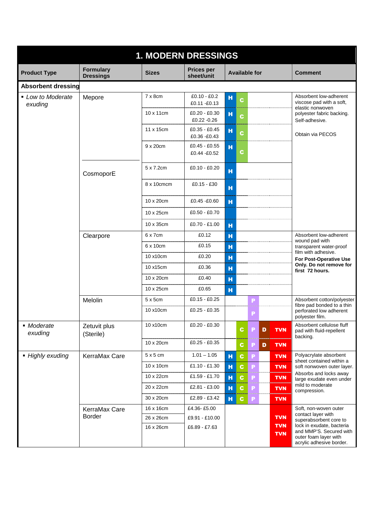| <b>1. MODERN DRESSINGS</b>   |                                      |                 |                                 |                                     |                                                                              |  |  |  |  |
|------------------------------|--------------------------------------|-----------------|---------------------------------|-------------------------------------|------------------------------------------------------------------------------|--|--|--|--|
| <b>Product Type</b>          | <b>Formulary</b><br><b>Dressings</b> | <b>Sizes</b>    | <b>Prices per</b><br>sheet/unit | <b>Available for</b>                | <b>Comment</b>                                                               |  |  |  |  |
| <b>Absorbent dressing</b>    |                                      |                 |                                 |                                     |                                                                              |  |  |  |  |
| • Low to Moderate<br>exuding | Mepore                               | $7 \times 8$ cm | £0.10 - £0.2<br>£0.11 - £0.13   | н<br>C.                             | Absorbent low-adherent<br>viscose pad with a soft,<br>elastic nonwoven       |  |  |  |  |
|                              |                                      | 10 x 11 cm      | $£0.20 - £0.30$<br>£0.22 -0.26  | н<br>C                              | polyester fabric backing.<br>Self-adhesive.                                  |  |  |  |  |
|                              |                                      | 11 x 15cm       | $£0.35 - £0.45$<br>£0.36 -£0.43 | н<br>$\mathbf{C}$                   | Obtain via PECOS                                                             |  |  |  |  |
|                              |                                      | 9 x 20cm        | £0.45 - £0.55<br>£0.44 - £0.52  | н<br>c                              |                                                                              |  |  |  |  |
|                              | CosmoporE                            | 5 x 7.2cm       | $£0.10 - £0.20$                 | н                                   |                                                                              |  |  |  |  |
|                              |                                      | 8 x 10cmcm      | $£0.15 - £30$                   | н                                   |                                                                              |  |  |  |  |
|                              |                                      | 10 x 20cm       | £0.45 - £0.60                   | н                                   |                                                                              |  |  |  |  |
|                              |                                      | 10 x 25cm       | £0.50 - £0.70                   |                                     |                                                                              |  |  |  |  |
|                              |                                      | 10 x 35cm       | $£0.70 - £1.00$                 | н                                   |                                                                              |  |  |  |  |
|                              | Clearpore                            | $6 \times 7$ cm | £0.12                           | н                                   | Absorbent low-adherent<br>wound pad with                                     |  |  |  |  |
|                              |                                      | 6 x 10cm        | £0.15                           | н                                   | transparent water-proof                                                      |  |  |  |  |
|                              |                                      | 10 x10cm        | £0.20                           | н                                   | film with adhesive.<br>For Post-Operative Use                                |  |  |  |  |
|                              |                                      | 10 x15cm        | £0.36                           | н                                   | Only. Do not remove for<br>first 72 hours.                                   |  |  |  |  |
|                              |                                      | 10 x 20cm       | £0.40                           | н                                   |                                                                              |  |  |  |  |
|                              |                                      | 10 x 25cm       | £0.65                           | н                                   |                                                                              |  |  |  |  |
|                              | Melolin                              | $5 \times 5$ cm | £0.15 - £0.25                   | P                                   | Absorbent cotton/polyester<br>fibre pad bonded to a thin                     |  |  |  |  |
|                              |                                      | 10 x10cm        | $£0.25 - £0.35$                 | P                                   | perforated low adherent<br>polyester film.                                   |  |  |  |  |
| • Moderate<br>exuding        | Zetuvit plus<br>(Sterile)            | 10 x10cm        | £0.20 - £0.30                   | $\mathbf c$<br>D<br><b>TVN</b>      | Absorbent cellulose fluff<br>pad with fluid-repellent<br>backing.            |  |  |  |  |
|                              |                                      | 10 x 20cm       | $£0.25 - £0.35$                 | <b>TVN</b><br>$\mathbf c$<br>D<br>P |                                                                              |  |  |  |  |
| • Highly exuding             | KerraMax Care                        | $5 \times 5$ cm | $1.01 - 1.05$                   | н<br>$\mathbf c$<br><b>TVN</b><br>P | Polyacrylate absorbent<br>sheet contained within a                           |  |  |  |  |
|                              |                                      | 10 x 10cm       | £1.10 - £1.30                   | н<br>$\mathbf c$<br><b>TVN</b><br>Р | soft nonwoven outer layer.                                                   |  |  |  |  |
|                              |                                      | 10 x 22cm       | £1.59 - £1.70                   | н<br><b>TVN</b><br>c<br>P           | Absorbs and locks away<br>large exudate even under                           |  |  |  |  |
|                              |                                      | 20 x 22cm       | £2.81 - £3.00                   | н<br><b>TVN</b><br>C<br>P           | mild to moderate<br>compression.                                             |  |  |  |  |
|                              |                                      | 30 x 20cm       | £2.89 - £3.42                   | н<br><b>TVN</b><br>C.<br>P          |                                                                              |  |  |  |  |
|                              | KerraMax Care                        | 16 x 16cm       | £4.36-£5.00                     |                                     | Soft, non-woven outer<br>contact layer with                                  |  |  |  |  |
|                              | Border                               | 26 x 26cm       | £9.91 - £10.00                  | <b>TVN</b><br><b>TVN</b>            | superabsorbent core to<br>lock in exudate, bacteria                          |  |  |  |  |
|                              |                                      | 16 x 26cm       | £6.89 - £7.63                   | <b>TVN</b>                          | and MMP'S. Secured with<br>outer foam layer with<br>acrylic adhesive border. |  |  |  |  |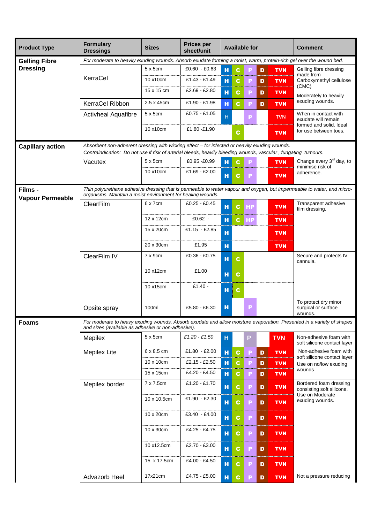| <b>Product Type</b>                | <b>Formulary</b><br><b>Dressings</b>                                                                               | <b>Sizes</b>      | <b>Prices per</b><br>sheet/unit | <b>Available for</b> |              |           |              |            | <b>Comment</b>                                                                                                         |
|------------------------------------|--------------------------------------------------------------------------------------------------------------------|-------------------|---------------------------------|----------------------|--------------|-----------|--------------|------------|------------------------------------------------------------------------------------------------------------------------|
| <b>Gelling Fibre</b>               | For moderate to heavily exuding wounds. Absorb exudate forming a moist, warm, protein-rich gel over the wound bed. |                   |                                 |                      |              |           |              |            |                                                                                                                        |
| <b>Dressing</b>                    |                                                                                                                    | $5 \times 5$ cm   | $£0.60 - £0.63$                 | н                    | C.           |           | D            | <b>TVN</b> | Gelling fibre dressing                                                                                                 |
|                                    | KerraCel                                                                                                           | 10 x10cm          | £1.43 - £1.49                   | н                    | C            | P         | D            | <b>TVN</b> | made from<br>Carboxymethyl cellulose                                                                                   |
|                                    |                                                                                                                    | 15 x 15 cm        | £2.69 - £2.80                   | н                    | C.           | P         | D            | <b>TVN</b> | (CMC)<br>Moderately to heavily                                                                                         |
|                                    | KerraCel Ribbon                                                                                                    | 2.5 x 45cm        | £1.90 £1.98                     | н                    | C.           | Е         | D            | <b>TVN</b> | exuding wounds.                                                                                                        |
|                                    | <b>Activheal Aquafibre</b>                                                                                         | $5 \times 5$ cm   | $£0.75 - £1.05$                 | H                    |              | P         |              | <b>TVN</b> | When in contact with<br>exudate will remain                                                                            |
|                                    |                                                                                                                    | 10 x10cm          | £1.80 -£1.90                    |                      | $\mathbf c$  |           |              | <b>TVN</b> | formed and solid. Ideal<br>for use between toes.                                                                       |
| <b>Capillary action</b>            | Absorbent non-adherent dressing with wicking effect – for infected or heavily exuding wounds.                      |                   |                                 |                      |              |           |              |            |                                                                                                                        |
|                                    | Contraindication: Do not use if risk of arterial bleeds, heavily bleeding wounds, vascular, fungating tumours.     |                   |                                 |                      |              |           |              |            |                                                                                                                        |
|                                    | Vacutex                                                                                                            | $5 \times 5$ cm   | £0.95 -£0.99                    | н                    | C            | P         |              | <b>TVN</b> | Change every 3 <sup>rd</sup> day, to<br>minimise risk of                                                               |
|                                    |                                                                                                                    | 10 x10cm          | $£1.69 - £2.00$                 | н                    | C.           | P         |              | <b>TVN</b> | adherence.                                                                                                             |
| Films -<br><b>Vapour Permeable</b> | organisms. Maintain a moist environment for healing wounds.                                                        |                   |                                 |                      |              |           |              |            | Thin polyurethane adhesive dressing that is permeable to water vapour and oxygen, but impermeable to water, and micro- |
|                                    | ClearFilm                                                                                                          | 6 x 7cm           | $£0.25 - £0.45$                 | н                    | $\mathbf{C}$ | <b>HP</b> |              | <b>TVN</b> | Transparent adhesive<br>film dressing.                                                                                 |
|                                    |                                                                                                                    | 12 x 12cm         | $£0.62 -$                       | н                    | C.           | <b>HP</b> |              | <b>TVN</b> |                                                                                                                        |
|                                    |                                                                                                                    | 15 x 20cm         | £1.15 $-E2.85$                  | н                    |              |           |              | <b>TVN</b> |                                                                                                                        |
|                                    |                                                                                                                    | 20 x 30cm         | £1.95                           | H                    |              |           |              | <b>TVN</b> |                                                                                                                        |
|                                    | ClearFilm IV                                                                                                       | $7 \times 9$ cm   | £0.36 - £0.75                   | н                    | $\mathbf c$  |           |              |            | Secure and protects IV<br>cannula.                                                                                     |
|                                    |                                                                                                                    | 10 x12cm          | £1.00                           | н                    | $\mathbf{c}$ |           |              |            |                                                                                                                        |
|                                    |                                                                                                                    | 10 x15cm          | $£1.40 -$                       | H                    | C.           |           |              |            |                                                                                                                        |
|                                    | Opsite spray                                                                                                       | 100ml             | £5.80 - £6.30                   | н                    |              | P         |              |            | To protect dry minor<br>surgical or surface<br>wounds.                                                                 |
| <b>Foams</b>                       | and sizes (available as adhesive or non-adhesive).                                                                 |                   |                                 |                      |              |           |              |            | For moderate to heavy exuding wounds. Absorb exudate and allow moisture evaporation. Presented in a variety of shapes  |
|                                    | Mepilex                                                                                                            | 5x5cm             | $£1.20 - £1.50$                 | н                    |              | P         |              | <b>TVN</b> | Non-adhesive foam with<br>soft silicone contact layer                                                                  |
|                                    | <b>Mepilex Lite</b>                                                                                                | $6 \times 8.5$ cm | £1.80 - £2.00                   | н                    | $\mathbf{c}$ | P         | D            | <b>TVN</b> | Non-adhesive foam with<br>soft silicone contact layer                                                                  |
|                                    |                                                                                                                    | 10 x 10cm         | £2.15 - £2.50                   | н                    | C.           | P         | D            | <b>TVN</b> | Use on no/low exuding                                                                                                  |
|                                    |                                                                                                                    | 15 x 15cm         | £4.20 - £4.50                   | н                    | C.           | Р         | D            | <b>TVN</b> | wounds                                                                                                                 |
|                                    | Mepilex border                                                                                                     | 7 x 7.5cm         | £1.20 - £1.70                   | н                    | C.           | Р         | D            | <b>TVN</b> | Bordered foam dressing<br>consisting soft silicone.                                                                    |
|                                    |                                                                                                                    | 10 x 10.5cm       | $£1.90 - £2.30$                 | H                    | C.           | Р         | D            | <b>TVN</b> | Use on Moderate<br>exuding wounds.                                                                                     |
|                                    |                                                                                                                    | 10 x 20cm         | $£3.40 - £4.00$                 | н                    | $\mathbf c$  | P         | D            | <b>TVN</b> |                                                                                                                        |
|                                    |                                                                                                                    | 10 x 30cm         | £4.25 - £4.75                   | H                    | C.           | P         | D            | <b>TVN</b> |                                                                                                                        |
|                                    |                                                                                                                    | 10 x12.5cm        | £2.70 - £3.00                   | н                    | $\mathbf c$  | Р         | D            | <b>TVN</b> |                                                                                                                        |
|                                    |                                                                                                                    | 15 x 17.5cm       | £4.00 - £4.50                   | н                    | $\mathbf{C}$ | P         | D            | <b>TVN</b> |                                                                                                                        |
|                                    | Advazorb Heel                                                                                                      | 17x21cm           | £4.75 - £5.00                   | H                    | $\mathbf{c}$ | P         | $\mathbf{D}$ | <b>TVN</b> | Not a pressure reducing                                                                                                |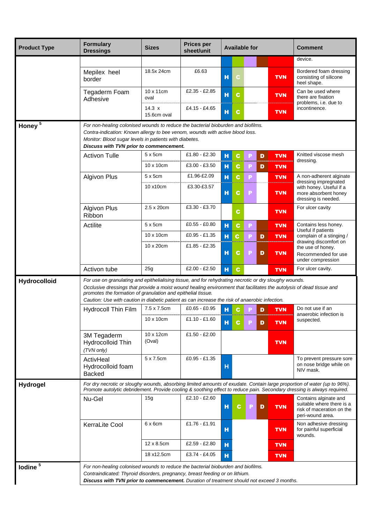| <b>Product Type</b> | <b>Formulary</b><br><b>Dressings</b>                                                                                                                                                                                                                                                                                                                                                                                           | <b>Sizes</b>                 | <b>Prices per</b><br>sheet/unit | <b>Available for</b> |   |                 | <b>Comment</b>                                                                                      |
|---------------------|--------------------------------------------------------------------------------------------------------------------------------------------------------------------------------------------------------------------------------------------------------------------------------------------------------------------------------------------------------------------------------------------------------------------------------|------------------------------|---------------------------------|----------------------|---|-----------------|-----------------------------------------------------------------------------------------------------|
|                     |                                                                                                                                                                                                                                                                                                                                                                                                                                |                              |                                 |                      |   |                 | device.                                                                                             |
|                     | Mepilex heel<br>border                                                                                                                                                                                                                                                                                                                                                                                                         | 18.5x 24cm                   | £6.63                           | н                    |   | <b>TVN</b>      | Bordered foam dressing<br>consisting of silicone<br>heel shape.                                     |
|                     | Tegaderm Foam<br>Adhesive                                                                                                                                                                                                                                                                                                                                                                                                      | 10 x 11cm<br>oval            | £2.35 - £2.85                   | н<br>C               |   | <b>TVN</b>      | Can be used where<br>there are fixation<br>problems, i.e. due to                                    |
|                     |                                                                                                                                                                                                                                                                                                                                                                                                                                | $14.3 \times$<br>15.6cm oval | £4.15 - £4.65                   | H<br>C               |   | <b>TVN</b>      | incontinence.                                                                                       |
| Honey <sup>5</sup>  | For non-healing colonised wounds to reduce the bacterial bioburden and biofilms.<br>Contra-indication: Known allergy to bee venom, wounds with active blood loss.<br>Monitor: Blood sugar levels in patients with diabetes.<br>Discuss with TVN prior to commencement.                                                                                                                                                         |                              |                                 |                      |   |                 |                                                                                                     |
|                     | <b>Activon Tulle</b>                                                                                                                                                                                                                                                                                                                                                                                                           | 5 x 5cm                      | $£1.80 - £2.30$                 | $\mathbf H$<br>C     | P | D<br><b>TVN</b> | Knitted viscose mesh                                                                                |
|                     |                                                                                                                                                                                                                                                                                                                                                                                                                                | 10 x 10cm                    | £3.00 - £3.50                   | н<br>C               | E | D<br><b>TVN</b> | dressing.                                                                                           |
|                     | <b>Algivon Plus</b>                                                                                                                                                                                                                                                                                                                                                                                                            | $5 \times 5$ cm              | £1.96-£2.09                     | н<br>C.              | P | <b>TVN</b>      | A non-adherent alginate                                                                             |
|                     |                                                                                                                                                                                                                                                                                                                                                                                                                                | 10 x10cm                     | £3.30-£3.57                     | н<br>c               | P | <b>TVN</b>      | dressing impregnated<br>with honey. Useful if a<br>more absorbent honey<br>dressing is needed.      |
|                     | <b>Algivon Plus</b><br>Ribbon                                                                                                                                                                                                                                                                                                                                                                                                  | 2.5 x 20cm                   | £3.30 - £3.70                   | C                    |   | <b>TVN</b>      | For ulcer cavity                                                                                    |
|                     | Actilite                                                                                                                                                                                                                                                                                                                                                                                                                       | 5 x 5cm                      | £0.55 - £0.80                   | н<br>C.              | P | <b>TVN</b>      | Contains less honey.<br>Useful if patients                                                          |
|                     |                                                                                                                                                                                                                                                                                                                                                                                                                                | 10 x 10 cm                   | $£0.95 - £1.35$                 | н<br>C.              | P | D<br><b>TVN</b> | complain of a stinging /                                                                            |
|                     |                                                                                                                                                                                                                                                                                                                                                                                                                                | 10 x 20cm                    | £1.85 - £2.35                   | н<br>C               | P | D<br><b>TVN</b> | drawing discomfort on<br>the use of honey.<br>Recommended for use<br>under compression              |
|                     | Activon tube                                                                                                                                                                                                                                                                                                                                                                                                                   | 25g                          | $£2.00 - £2.50$                 | н<br>$\mathbf{c}$    |   | <b>TVN</b>      | For ulcer cavity.                                                                                   |
| Hydrocolloid        | For use on granulating and epithelialising tissue, and for rehydrating necrotic or dry sloughy wounds.<br>Occlusive dressings that provide a moist wound healing environment that facilitates the autolysis of dead tissue and<br>promotes the formation of granulation and epithelial tissue.<br>Caution: Use with caution in diabetic patient as can increase the risk of anaerobic infection.<br><b>Hydrocoll Thin Film</b> | 7.5 x 7.5cm                  | $£0.65 - £0.95$                 | C                    |   | D<br><b>TVN</b> | Do not use if an                                                                                    |
|                     |                                                                                                                                                                                                                                                                                                                                                                                                                                | 10 x 10cm                    | $£1.10 - £1.60$                 | н                    |   |                 | anaerobic infection is                                                                              |
|                     |                                                                                                                                                                                                                                                                                                                                                                                                                                |                              |                                 | н                    |   | <b>TVN</b><br>D | suspected.                                                                                          |
|                     | 3M Tegaderm<br>Hydrocolloid Thin<br>(TVN only)                                                                                                                                                                                                                                                                                                                                                                                 | 10 x 12cm<br>(Oval)          | £1.50 - £2.00                   |                      |   | <b>TVN</b>      |                                                                                                     |
|                     | ActivHeal<br>Hydrocolloid foam<br><b>Backed</b>                                                                                                                                                                                                                                                                                                                                                                                | 5 x 7.5cm                    | £0.95 - £1.35                   | H                    |   |                 | To prevent pressure sore<br>on nose bridge while on<br>NIV mask.                                    |
| Hydrogel            | For dry necrotic or sloughy wounds, absorbing limited amounts of exudate. Contain large proportion of water (up to 96%).<br>Promote autolytic debridement. Provide cooling & soothing effect to reduce pain. Secondary dressing is always required.                                                                                                                                                                            |                              |                                 |                      |   |                 |                                                                                                     |
|                     | Nu-Gel                                                                                                                                                                                                                                                                                                                                                                                                                         | 15g                          | £2.10 - £2.60                   | н<br>C               | Р | <b>TVN</b><br>D | Contains alginate and<br>suitable where there is a<br>risk of maceration on the<br>peri-wound area. |
|                     | KerraLite Cool                                                                                                                                                                                                                                                                                                                                                                                                                 | $6 \times 6$ cm              | £1.76 - £1.91                   | н                    |   | <b>TVN</b>      | Non adhesive dressing<br>for painful superficial<br>wounds.                                         |
|                     |                                                                                                                                                                                                                                                                                                                                                                                                                                | 12 x 8.5cm                   | £2.59 - £2.80                   | н                    |   | <b>TVN</b>      |                                                                                                     |
|                     |                                                                                                                                                                                                                                                                                                                                                                                                                                | 18 x12.5cm                   | £3.74 - £4.05                   | н                    |   | <b>TVN</b>      |                                                                                                     |
| lodine <sup>5</sup> | For non-healing colonised wounds to reduce the bacterial bioburden and biofilms.<br>Contraindicated: Thyroid disorders, pregnancy, breast feeding or on lithium.<br>Discuss with TVN prior to commencement. Duration of treatment should not exceed 3 months.                                                                                                                                                                  |                              |                                 |                      |   |                 |                                                                                                     |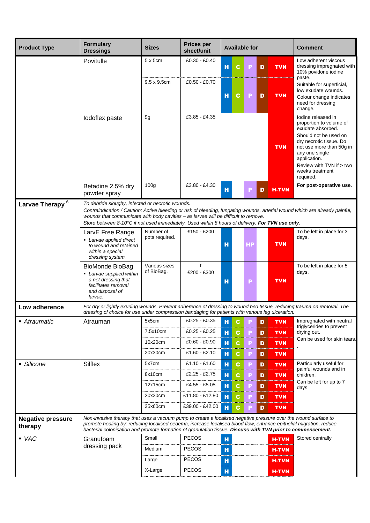| <b>Product Type</b>                 | <b>Formulary</b><br><b>Dressings</b>                                                                                                                                                                                                                                                                                                                | <b>Sizes</b>                            | <b>Prices per</b><br>sheet/unit                                      |                  |                     | <b>Available for</b> |                  |                                                      | <b>Comment</b>                                                                                                                                                                                                                                   |
|-------------------------------------|-----------------------------------------------------------------------------------------------------------------------------------------------------------------------------------------------------------------------------------------------------------------------------------------------------------------------------------------------------|-----------------------------------------|----------------------------------------------------------------------|------------------|---------------------|----------------------|------------------|------------------------------------------------------|--------------------------------------------------------------------------------------------------------------------------------------------------------------------------------------------------------------------------------------------------|
|                                     | Povitulle                                                                                                                                                                                                                                                                                                                                           | 5 x 5cm                                 | £0.30 - £0.40                                                        | н                | C.                  | Р                    | D                | <b>TVN</b>                                           | Low adherent viscous<br>dressing impregnated with<br>10% povidone iodine                                                                                                                                                                         |
|                                     |                                                                                                                                                                                                                                                                                                                                                     | $9.5 \times 9.5$ cm                     | $£0.50 - £0.70$                                                      | н                | C                   | Р                    | D                | <b>TVN</b>                                           | paste.<br>Suitable for superficial,<br>low exudate wounds.<br>Colour change indicates<br>need for dressing<br>change.                                                                                                                            |
|                                     | lodoflex paste                                                                                                                                                                                                                                                                                                                                      | 5g                                      | £3.85 - £4.35                                                        |                  |                     |                      |                  | <b>TVN</b>                                           | lodine released in<br>proportion to volume of<br>exudate absorbed.<br>Should not be used on<br>dry necrotic tissue. Do<br>not use more than 50g in<br>any one single<br>application.<br>Review with TVN if > two<br>weeks treatment<br>required. |
|                                     | Betadine 2.5% dry<br>powder spray                                                                                                                                                                                                                                                                                                                   | 100 <sub>g</sub>                        | £3.80 - £4.30                                                        | $\mathbf H$      |                     | P                    | D                | <b>H-TVN</b>                                         | For post-operative use.                                                                                                                                                                                                                          |
| Larvae Therapy <sup>6</sup>         | To debride sloughy, infected or necrotic wounds.<br>wounds that communicate with body cavities - as larvae will be difficult to remove.<br>Store between 8-10°C if not used immediately. Used within 8 hours of delivery. For TVN use only.                                                                                                         |                                         |                                                                      |                  |                     |                      |                  |                                                      | Contraindication / Caution: Active bleeding or risk of bleeding, fungating wounds, arterial wound which are already painful,                                                                                                                     |
|                                     | LarvE Free Range<br>• Larvae applied direct<br>to wound and retained<br>within a special<br>dressing system.                                                                                                                                                                                                                                        | Number of<br>pots required.             | £150 - £200                                                          | н                |                     | НP                   |                  | <b>TVN</b>                                           | To be left in place for 3<br>days.                                                                                                                                                                                                               |
|                                     | BioMonde BioBag<br>• Larvae supplied within<br>a net dressing that<br>facilitates removal<br>and disposal of<br>larvae.                                                                                                                                                                                                                             | Various sizes<br>of BioBag.             | t<br>£200 - £300                                                     | н                |                     | P                    |                  | <b>TVN</b>                                           | To be left in place for 5<br>days.                                                                                                                                                                                                               |
| Low adherence                       | For dry or lightly exuding wounds. Prevent adherence of dressing to wound bed tissue, reducing trauma on removal. The<br>dressing of choice for use under compression bandaging for patients with venous leg ulceration.                                                                                                                            |                                         |                                                                      |                  |                     |                      |                  |                                                      |                                                                                                                                                                                                                                                  |
| ■ Atraumatic                        | Atrauman                                                                                                                                                                                                                                                                                                                                            | 5x5cm<br>7.5x10cm<br>10x20cm<br>20x30cm | £0.25 - £0.35<br>$£0.25 - £0.25$<br>£0.60 - £0.90<br>$£1.60 - £2.10$ | н<br>н<br>н<br>н | C.<br>C.<br>C.<br>c | Р<br>P<br>P<br>P     | D<br>D<br>D<br>D | <b>TVN</b><br><b>TVN</b><br><b>TVN</b><br><b>TVN</b> | Impregnated with neutral<br>triglycerides to prevent<br>drying out.<br>Can be used for skin tears.                                                                                                                                               |
| • Silicone                          | <b>Silflex</b>                                                                                                                                                                                                                                                                                                                                      | 5x7cm                                   | $£1.10 - £1.60$                                                      | н                | C.                  | Р                    | D                | <b>TVN</b>                                           | Particularly useful for                                                                                                                                                                                                                          |
|                                     |                                                                                                                                                                                                                                                                                                                                                     | 8x10cm<br>12x15cm                       | $£2.25 - £2.75$<br>£4.55 - £5.05                                     | н<br>н           | C.<br>c             | P<br>P               | D<br>D           | <b>TVN</b><br><b>TVN</b>                             | painful wounds and in<br>children.<br>Can be left for up to 7<br>days                                                                                                                                                                            |
|                                     |                                                                                                                                                                                                                                                                                                                                                     | 20x30cm<br>35x60cm                      | £11.80 - £12.80<br>£39.00 - £42.00                                   | н<br>н           | C.<br>C.            |                      | D<br>D           | <b>TVN</b><br><b>TVN</b>                             |                                                                                                                                                                                                                                                  |
| <b>Negative pressure</b><br>therapy | Non-invasive therapy that uses a vacuum pump to create a localised negative pressure over the wound surface to<br>promote healing by: reducing localised oedema, increase localised blood flow, enhance epithelial migration, reduce<br>bacterial colonisation and promote formation of granulation tissue. Discuss with TVN prior to commencement. |                                         |                                                                      |                  |                     |                      |                  |                                                      |                                                                                                                                                                                                                                                  |
| $\bullet$ VAC                       | Granufoam                                                                                                                                                                                                                                                                                                                                           | Small                                   | <b>PECOS</b>                                                         | н                |                     |                      |                  | <b>H-TVN</b>                                         | Stored centrally                                                                                                                                                                                                                                 |
|                                     | dressing pack                                                                                                                                                                                                                                                                                                                                       | Medium                                  | <b>PECOS</b>                                                         | н                |                     |                      |                  | <b>H-TVN</b>                                         |                                                                                                                                                                                                                                                  |
|                                     |                                                                                                                                                                                                                                                                                                                                                     | Large                                   | PECOS                                                                | н                |                     |                      |                  | <b>H-TVN</b>                                         |                                                                                                                                                                                                                                                  |
|                                     |                                                                                                                                                                                                                                                                                                                                                     | X-Large                                 | <b>PECOS</b>                                                         | н                |                     |                      |                  | <b>H-TVN</b>                                         |                                                                                                                                                                                                                                                  |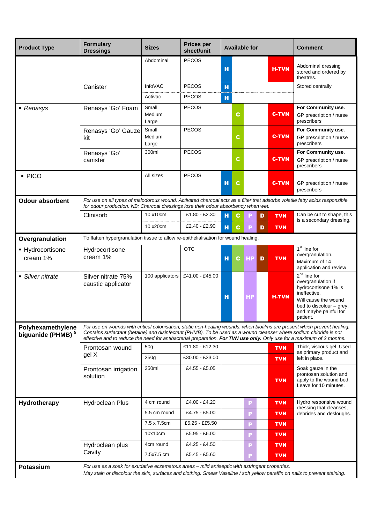| <b>Product Type</b>                                | <b>Formulary</b><br><b>Dressings</b>                                                                                                                                                                                                                                                                                                                                     | <b>Sizes</b>             | <b>Prices per</b><br>sheet/unit | <b>Available for</b> |           |   |                                          | <b>Comment</b>                                                                                                                                                        |
|----------------------------------------------------|--------------------------------------------------------------------------------------------------------------------------------------------------------------------------------------------------------------------------------------------------------------------------------------------------------------------------------------------------------------------------|--------------------------|---------------------------------|----------------------|-----------|---|------------------------------------------|-----------------------------------------------------------------------------------------------------------------------------------------------------------------------|
|                                                    |                                                                                                                                                                                                                                                                                                                                                                          | Abdominal                | <b>PECOS</b>                    | н                    |           |   | <b>H-TVN</b>                             | Abdominal dressing<br>stored and ordered by<br>theatres.                                                                                                              |
|                                                    | Canister                                                                                                                                                                                                                                                                                                                                                                 | <b>InfoVAC</b>           | <b>PECOS</b>                    | н                    |           |   |                                          | Stored centrally                                                                                                                                                      |
|                                                    |                                                                                                                                                                                                                                                                                                                                                                          | Activac                  | <b>PECOS</b>                    | н                    |           |   |                                          |                                                                                                                                                                       |
| • Renasys                                          | Renasys 'Go' Foam                                                                                                                                                                                                                                                                                                                                                        | Small<br>Medium<br>Large | <b>PECOS</b>                    | C                    |           |   | <b>C-TVN</b>                             | For Community use.<br>GP prescription / nurse<br>prescribers                                                                                                          |
|                                                    | Renasys 'Go' Gauze<br>kit                                                                                                                                                                                                                                                                                                                                                | Small<br>Medium<br>Large | <b>PECOS</b>                    | C                    |           |   | <b>C-TVN</b>                             | For Community use.<br>GP prescription / nurse<br>prescribers                                                                                                          |
|                                                    | Renasys 'Go'<br>canister                                                                                                                                                                                                                                                                                                                                                 | 300ml                    | <b>PECOS</b>                    | С                    |           |   | <b>C-TVN</b>                             | For Community use.<br>GP prescription / nurse<br>prescribers                                                                                                          |
| · PICO                                             |                                                                                                                                                                                                                                                                                                                                                                          | All sizes                | <b>PECOS</b>                    | н<br>C               |           |   | <b>C-TVN</b>                             | GP prescription / nurse<br>prescribers                                                                                                                                |
| <b>Odour absorbent</b>                             | For use on all types of malodorous wound. Activated charcoal acts as a filter that adsorbs volatile fatty acids responsible<br>for odour production. NB: Charcoal dressings lose their odour absorbency when wet.                                                                                                                                                        |                          |                                 |                      |           |   |                                          |                                                                                                                                                                       |
|                                                    | Clinisorb                                                                                                                                                                                                                                                                                                                                                                | 10 x10cm                 | £1.80 - £2.30                   | н<br>C               |           | D | <b>TVN</b>                               | Can be cut to shape, this<br>is a secondary dressing.                                                                                                                 |
|                                                    |                                                                                                                                                                                                                                                                                                                                                                          | 10 x20cm                 | £2.40 - £2.90                   | н<br>C.              |           | D | <b>TVN</b>                               |                                                                                                                                                                       |
| Overgranulation                                    | To flatten hypergranulation tissue to allow re-epithelialisation for wound healing.                                                                                                                                                                                                                                                                                      |                          |                                 |                      |           |   |                                          |                                                                                                                                                                       |
| • Hydrocortisone<br>cream 1%                       | Hydrocortisone<br>cream 1%                                                                                                                                                                                                                                                                                                                                               |                          | <b>OTC</b>                      | н<br>C.              | <b>HP</b> | D | <b>TVN</b>                               | 1 <sup>st</sup> line for<br>overgranulation.<br>Maximum of 14<br>application and review                                                                               |
| • Silver nitrate                                   | Silver nitrate 75%<br>caustic applicator                                                                                                                                                                                                                                                                                                                                 | 100 applicators          | £41.00 - £45.00                 | н                    | НP        |   | <b>H-TVN</b>                             | $2nd$ line for<br>overgranulation if<br>hydrocortisone 1% is<br>ineffective.<br>Will cause the wound<br>bed to discolour - grey,<br>and maybe painful for<br>patient. |
| Polyhexamethylene<br>biguanide (PHMB) <sup>5</sup> | For use on wounds with critical colonisation, static non-healing wounds, when biofilms are present which prevent healing.<br>Contains surfactant (betaine) and disinfectant (PHMB). To be used as a wound cleanser where sodium chloride is not<br>effective and to reduce the need for antibacterial preparation. For TVN use only. Only use for a maximum of 2 months. |                          |                                 |                      |           |   |                                          |                                                                                                                                                                       |
|                                                    | Prontosan wound                                                                                                                                                                                                                                                                                                                                                          | 50 <sub>g</sub>          | £11.80 - £12.30                 |                      |           |   | <b>TVN</b>                               | Thick, viscous gel. Used                                                                                                                                              |
|                                                    | gel X                                                                                                                                                                                                                                                                                                                                                                    | 250g                     | £30.00 - £33.00                 | <b>TVN</b>           |           |   | as primary product and<br>left in place. |                                                                                                                                                                       |
|                                                    | Prontosan irrigation<br>solution                                                                                                                                                                                                                                                                                                                                         | 350ml                    | £4.55 - £5.05                   |                      |           |   | <b>TVN</b>                               | Soak gauze in the<br>prontosan solution and<br>apply to the wound bed.<br>Leave for 10 minutes.                                                                       |
| Hydrotherapy                                       | Hydroclean Plus                                                                                                                                                                                                                                                                                                                                                          | 4 cm round               | £4.00 - £4.20                   |                      | Р         |   | <b>TVN</b>                               | Hydro responsive wound                                                                                                                                                |
|                                                    |                                                                                                                                                                                                                                                                                                                                                                          | 5.5 cm round             | £4.75 - £5.00                   |                      | P         |   | <b>TVN</b>                               | dressing that cleanses,<br>debrides and desloughs.                                                                                                                    |
|                                                    |                                                                                                                                                                                                                                                                                                                                                                          | 7.5 x 7.5cm              | £5.25 - ££5.50                  |                      | P         |   | <b>TVN</b>                               |                                                                                                                                                                       |
|                                                    |                                                                                                                                                                                                                                                                                                                                                                          | 10x10cm                  | £5.95 - £6.00                   |                      | P         |   | <b>TVN</b>                               |                                                                                                                                                                       |
|                                                    | Hydroclean plus                                                                                                                                                                                                                                                                                                                                                          | 4cm round                | £4.25 - £4.50                   |                      | Р         |   | <b>TVN</b>                               |                                                                                                                                                                       |
|                                                    | Cavity                                                                                                                                                                                                                                                                                                                                                                   | 7.5x7.5 cm               | £5.45 - £5.60                   |                      | P         |   | <b>TVN</b>                               |                                                                                                                                                                       |
| <b>Potassium</b>                                   | For use as a soak for exudative eczematous areas – mild antiseptic with astringent properties.<br>May stain or discolour the skin, surfaces and clothing. Smear Vaseline / soft yellow paraffin on nails to prevent staining.                                                                                                                                            |                          |                                 |                      |           |   |                                          |                                                                                                                                                                       |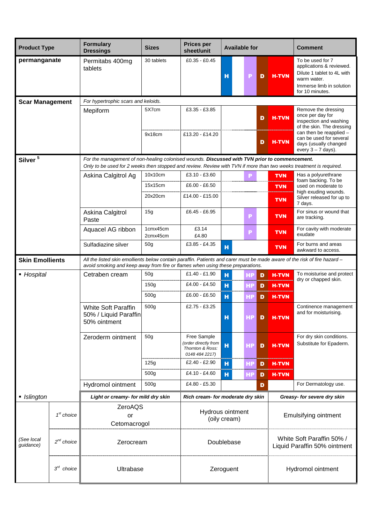| <b>Product Type</b>     |                 | <b>Formulary</b><br><b>Dressings</b>                                                                                                                                                                        | <b>Sizes</b>         | <b>Prices per</b><br>sheet/unit                                          | <b>Available for</b> |    |        | <b>Comment</b>                                            |                                                                                                                                                                                                       |  |  |
|-------------------------|-----------------|-------------------------------------------------------------------------------------------------------------------------------------------------------------------------------------------------------------|----------------------|--------------------------------------------------------------------------|----------------------|----|--------|-----------------------------------------------------------|-------------------------------------------------------------------------------------------------------------------------------------------------------------------------------------------------------|--|--|
| permanganate            |                 | Permitabs 400mg<br>tablets                                                                                                                                                                                  | 30 tablets           | £0.35 - £0.45                                                            | H                    | P  | D      | <b>H-TVN</b>                                              | To be used for 7<br>applications & reviewed.<br>Dilute 1 tablet to 4L with<br>warm water.<br>Immerse limb in solution<br>for 10 minutes.                                                              |  |  |
| <b>Scar Management</b>  |                 | For hypertrophic scars and keloids.                                                                                                                                                                         |                      |                                                                          |                      |    |        |                                                           |                                                                                                                                                                                                       |  |  |
|                         |                 | Mepiform                                                                                                                                                                                                    | 5X7cm<br>9x18cm      | £3.35 - £3.85<br>£13.20 - £14.20                                         |                      |    | D<br>D | <b>H-TVN</b><br><b>H-TVN</b>                              | Remove the dressing<br>once per day for<br>inspection and washing<br>of the skin. The dressing<br>can then be reapplied -<br>can be used for several<br>days (usually changed<br>every $3 - 7$ days). |  |  |
| Silver <sup>5</sup>     |                 | For the management of non-healing colonised wounds. Discussed with TVN prior to commencement.                                                                                                               |                      |                                                                          |                      |    |        |                                                           |                                                                                                                                                                                                       |  |  |
|                         |                 | Only to be used for 2 weeks then stopped and review. Review with TVN if more than two weeks treatment is required.                                                                                          | 10x10cm              | £3.10 - £3.60                                                            |                      |    |        | <b>TVN</b>                                                | Has a polyurethrane                                                                                                                                                                                   |  |  |
|                         |                 | Askina Calgitrol Ag                                                                                                                                                                                         | 15x15cm              | $£6.00 - £6.50$                                                          |                      | P  |        |                                                           | foam backing. To be<br>used on moderate to                                                                                                                                                            |  |  |
|                         |                 |                                                                                                                                                                                                             | 20x20cm              | £14.00 - £15.00                                                          |                      |    |        | <b>TVN</b><br><b>TVN</b>                                  | high exuding wounds.<br>Silver released for up to                                                                                                                                                     |  |  |
|                         |                 | Askina Calgitrol<br>Paste                                                                                                                                                                                   | 15 <sub>q</sub>      | £6.45 - £6.95                                                            |                      | P  |        | <b>TVN</b>                                                | 7 days.<br>For sinus or wound that<br>are tracking.                                                                                                                                                   |  |  |
|                         |                 | Aquacel AG ribbon                                                                                                                                                                                           | 1cmx45cm<br>2cmx45cm | £3.14<br>£4.80                                                           |                      | P  |        | <b>TVN</b>                                                | For cavity with moderate<br>exudate                                                                                                                                                                   |  |  |
|                         |                 | Sulfadiazine silver                                                                                                                                                                                         | 50 <sub>g</sub>      | £3.85 - £4.35                                                            | н                    |    |        | <b>TVN</b>                                                | For burns and areas<br>awkward to access.                                                                                                                                                             |  |  |
| <b>Skin Emollients</b>  |                 | All the listed skin emollients below contain paraffin. Patients and carer must be made aware of the risk of fire hazard -<br>avoid smoking and keep away from fire or flames when using these preparations. |                      |                                                                          |                      |    |        |                                                           |                                                                                                                                                                                                       |  |  |
| ■ Hospital              |                 | Cetraben cream                                                                                                                                                                                              | 50 <sub>q</sub>      | £1.40 - £1.90                                                            | н                    | НP | D      | <b>H-TVN</b>                                              | To moisturise and protect                                                                                                                                                                             |  |  |
|                         |                 |                                                                                                                                                                                                             |                      | £4.00 - £4.50                                                            | н                    | HP | D      | <b>H-TVN</b>                                              | dry or chapped skin.                                                                                                                                                                                  |  |  |
|                         |                 |                                                                                                                                                                                                             | 500 <sub>g</sub>     | $£6.00 - £6.50$                                                          | н                    | НP | D      | <b>H-TVN</b>                                              |                                                                                                                                                                                                       |  |  |
|                         |                 | <b>White Soft Paraffin</b><br>50% / Liquid Paraffin<br>50% ointment                                                                                                                                         | 500 <sub>g</sub>     | £2.75 - £3.25                                                            | н                    |    |        | <b>D</b>   H-TVN                                          | Continence management<br>and for moisturising.                                                                                                                                                        |  |  |
|                         |                 | Zeroderm ointment                                                                                                                                                                                           | 50 <sub>g</sub>      | Free Sample<br>order directly from<br>Thornton & Ross:<br>0148 484 2217) | H                    | HР | D      | <b>H-TVN</b>                                              | For dry skin conditions.<br>Substitute for Epaderm.                                                                                                                                                   |  |  |
|                         |                 |                                                                                                                                                                                                             | 125g                 | £2.40 - £2.90                                                            | н                    | НP | D      | <b>H-TVN</b>                                              |                                                                                                                                                                                                       |  |  |
|                         |                 |                                                                                                                                                                                                             | 500 <sub>g</sub>     | £4.10 - £4.60                                                            | н                    | НP | D      | <b>H-TVN</b>                                              |                                                                                                                                                                                                       |  |  |
|                         |                 | <b>Hydromol ointment</b>                                                                                                                                                                                    | 500g                 | £4.80 - £5.30                                                            |                      |    | D      |                                                           | For Dermatology use.                                                                                                                                                                                  |  |  |
| • Islington             |                 | Light or creamy- for mild dry skin                                                                                                                                                                          |                      | Rich cream- for moderate dry skin                                        |                      |    |        |                                                           | Greasy- for severe dry skin                                                                                                                                                                           |  |  |
|                         | $1st$ choice    | ZeroAQS<br>or<br>Cetomacrogol                                                                                                                                                                               |                      | Hydrous ointment                                                         | (oily cream)         |    |        |                                                           | Emulsifying ointment                                                                                                                                                                                  |  |  |
| (See local<br>quidance) | $2^{nd}$ choice | Zerocream                                                                                                                                                                                                   |                      |                                                                          | Doublebase           |    |        | White Soft Paraffin 50% /<br>Liquid Paraffin 50% ointment |                                                                                                                                                                                                       |  |  |
|                         | $3^{rd}$ choice | Ultrabase                                                                                                                                                                                                   |                      |                                                                          | Zeroguent            |    |        | Hydromol ointment                                         |                                                                                                                                                                                                       |  |  |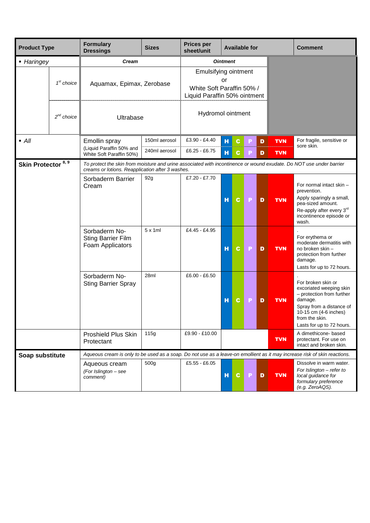| <b>Product Type</b>           |                                                  | <b>Formulary</b><br><b>Dressings</b>                                                                                                                                    | <b>Sizes</b>                                                                      | <b>Prices per</b><br>sheet/unit |                 |             | <b>Available for</b> |   |            | <b>Comment</b>                                                                                                                                                                            |
|-------------------------------|--------------------------------------------------|-------------------------------------------------------------------------------------------------------------------------------------------------------------------------|-----------------------------------------------------------------------------------|---------------------------------|-----------------|-------------|----------------------|---|------------|-------------------------------------------------------------------------------------------------------------------------------------------------------------------------------------------|
| • Haringey                    |                                                  | <b>Cream</b>                                                                                                                                                            |                                                                                   |                                 | <b>Ointment</b> |             |                      |   |            |                                                                                                                                                                                           |
|                               | $1st$ choice                                     | Aquamax, Epimax, Zerobase                                                                                                                                               | Emulsifying ointment<br>White Soft Paraffin 50% /<br>Liquid Paraffin 50% ointment | or                              |                 |             |                      |   |            |                                                                                                                                                                                           |
|                               | $2^{nd}$ choice                                  | Ultrabase                                                                                                                                                               |                                                                                   | Hydromol ointment               |                 |             |                      |   |            |                                                                                                                                                                                           |
| $\blacksquare$ All            |                                                  | Emollin spray                                                                                                                                                           | 150ml aerosol                                                                     | £3.90 - £4.40                   | н               | C.          |                      | D | <b>TVN</b> | For fragile, sensitive or                                                                                                                                                                 |
|                               |                                                  | (Liquid Paraffin 50% and<br>White Soft Paraffin 50%)                                                                                                                    | 240ml aerosol                                                                     | £6.25 - £6.75                   | $\mathbf H$     | C.          |                      | D | <b>TVN</b> | sore skin.                                                                                                                                                                                |
| Skin Protector <sup>8,9</sup> |                                                  | To protect the skin from moisture and urine associated with incontinence or wound exudate. Do NOT use under barrier<br>creams or lotions. Reapplication after 3 washes. |                                                                                   |                                 |                 |             |                      |   |            |                                                                                                                                                                                           |
|                               |                                                  | Sorbaderm Barrier<br>Cream                                                                                                                                              | 92g                                                                               | £7.20 - £7.70                   | н               | C           | P                    | D | <b>TVN</b> | For normal intact skin -<br>prevention.<br>Apply sparingly a small,<br>pea-sized amount.<br>Re-apply after every 3rd<br>incontinence episode or<br>wash.                                  |
|                               |                                                  | Sorbaderm No-<br><b>Sting Barrier Film</b><br>Foam Applicators                                                                                                          | $5 \times 1$ ml                                                                   | £4.45 - £4.95                   | н               | C           | P                    | D | <b>TVN</b> | For erythema or<br>moderate dermatitis with<br>no broken skin -<br>protection from further<br>damage.<br>Lasts for up to 72 hours.                                                        |
|                               |                                                  | Sorbaderm No-<br><b>Sting Barrier Spray</b>                                                                                                                             | 28ml                                                                              | £6.00 - £6.50                   | н               | C.          | P                    | D | <b>TVN</b> | For broken skin or<br>excoriated weeping skin<br>- protection from further<br>damage.<br>Spray from a distance of<br>10-15 cm (4-6 inches)<br>from the skin.<br>Lasts for up to 72 hours. |
|                               | <b>Proshield Plus Skin</b><br>115g<br>Protectant |                                                                                                                                                                         |                                                                                   | £9.90 - £10.00                  |                 |             |                      |   | <b>TVN</b> | A dimethicone- based<br>protectant. For use on<br>intact and broken skin.                                                                                                                 |
|                               |                                                  | Aqueous cream is only to be used as a soap. Do not use as a leave-on emollient as it may increase risk of skin reactions.                                               |                                                                                   |                                 |                 |             |                      |   |            |                                                                                                                                                                                           |
| Soap substitute               |                                                  | Aqueous cream<br>(For Islington - see<br>comment)                                                                                                                       | 500 <sub>g</sub>                                                                  | £5.55 - £6.05                   | н               | $\mathbf c$ | P                    | D | <b>TVN</b> | Dissolve in warm water.<br>For Islington - refer to<br>local quidance for<br>formulary preference<br>(e.g. ZeroAQS).                                                                      |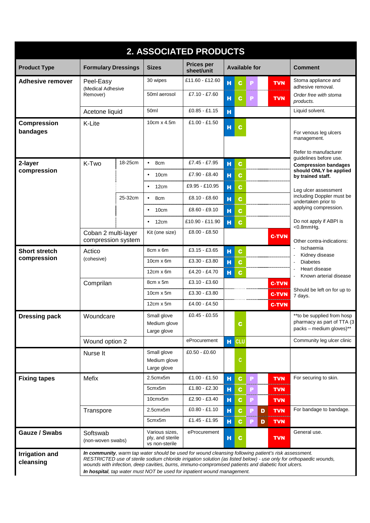|                                    |                                           |                                    |                                                      | 2. ASSOCIATED PRODUCTS                                                                                                                                                                                                                                                                |   |              |                      |   |              |                                                                                                                    |
|------------------------------------|-------------------------------------------|------------------------------------|------------------------------------------------------|---------------------------------------------------------------------------------------------------------------------------------------------------------------------------------------------------------------------------------------------------------------------------------------|---|--------------|----------------------|---|--------------|--------------------------------------------------------------------------------------------------------------------|
| <b>Product Type</b>                | <b>Formulary Dressings</b>                |                                    | <b>Sizes</b>                                         | <b>Prices per</b><br>sheet/unit                                                                                                                                                                                                                                                       |   |              | <b>Available for</b> |   |              | <b>Comment</b>                                                                                                     |
| <b>Adhesive remover</b>            | Peel-Easy<br>(Medical Adhesive            |                                    | 30 wipes                                             | £11.60 - £12.60                                                                                                                                                                                                                                                                       | н | C            |                      |   | <b>TVN</b>   | Stoma appliance and<br>adhesive removal.                                                                           |
|                                    | Remover)                                  |                                    | 50ml aerosol                                         | £7.10 $-$ £7.60                                                                                                                                                                                                                                                                       | н | <b>C</b>     | P                    |   | <b>TVN</b>   | Order free with stoma<br>products.                                                                                 |
|                                    |                                           | 50 <sub>ml</sub><br>Acetone liquid |                                                      | $£0.85 - £1.15$                                                                                                                                                                                                                                                                       | н |              |                      |   |              | Liquid solvent.                                                                                                    |
| <b>Compression</b><br>bandages     | K-Lite                                    |                                    | 10cm x 4.5m                                          | $£1.00 - £1.50$                                                                                                                                                                                                                                                                       | H | C            |                      |   |              | For venous leg ulcers<br>management.                                                                               |
|                                    | K-Two                                     | 18-25cm                            | 8cm<br>$\bullet$                                     | £7.45 - £7.95                                                                                                                                                                                                                                                                         |   |              |                      |   |              | Refer to manufacturer<br>guidelines before use.                                                                    |
| 2-layer<br>compression             |                                           |                                    |                                                      |                                                                                                                                                                                                                                                                                       | н | $\mathbf c$  |                      |   |              | <b>Compression bandages</b><br>should ONLY be applied                                                              |
|                                    |                                           |                                    | 10cm<br>$\bullet$                                    | £7.90 - £8.40                                                                                                                                                                                                                                                                         | н | $\mathbf c$  |                      |   |              | by trained staff.                                                                                                  |
|                                    |                                           |                                    | 12cm<br>$\bullet$                                    | £9.95 - £10.95                                                                                                                                                                                                                                                                        | н | C.           |                      |   |              | Leg ulcer assessment<br>including Doppler must be                                                                  |
|                                    |                                           | 25-32cm                            | 8cm<br>$\bullet$                                     | £8.10 - £8.60                                                                                                                                                                                                                                                                         | н | C.           |                      |   |              | undertaken prior to                                                                                                |
|                                    |                                           |                                    | 10cm<br>$\bullet$                                    | $£8.60 - £9.10$                                                                                                                                                                                                                                                                       | н | C.           |                      |   |              | applying compression.                                                                                              |
|                                    |                                           |                                    | 12cm<br>$\bullet$                                    | £10.90 - £11.90                                                                                                                                                                                                                                                                       | н | c            |                      |   |              | Do not apply if ABPI is<br>$<$ 0.8mm $Hq$ .                                                                        |
|                                    | Coban 2 multi-layer<br>compression system |                                    | Kit (one size)                                       | £8.00 - £8.50                                                                                                                                                                                                                                                                         |   |              |                      |   | <b>C-TVN</b> | Other contra-indications:                                                                                          |
| <b>Short stretch</b>               | Actico<br>(cohesive)<br>Comprilan         |                                    | 8cm x 6m                                             | £3.15 - £3.65                                                                                                                                                                                                                                                                         | н | C.           |                      |   |              | Ischaemia<br>Kidney disease                                                                                        |
| compression                        |                                           |                                    | $10cm \times 6m$                                     | £3.30 - £3.80                                                                                                                                                                                                                                                                         | н | C.           |                      |   |              | <b>Diabetes</b>                                                                                                    |
|                                    |                                           |                                    | $12cm \times 6m$                                     | £4.20 - £4.70                                                                                                                                                                                                                                                                         | н | <sub>C</sub> |                      |   |              | Heart disease<br>Known arterial disease                                                                            |
|                                    |                                           |                                    | 8cm x 5m                                             | £3.10 - £3.60                                                                                                                                                                                                                                                                         |   |              |                      |   | <b>C-TVN</b> |                                                                                                                    |
|                                    |                                           |                                    | $10cm \times 5m$                                     | £3.30 - £3.80                                                                                                                                                                                                                                                                         |   |              |                      |   | <b>C-TVN</b> | Should be left on for up to<br>7 days.                                                                             |
|                                    |                                           |                                    | $12cm \times 5m$                                     | £4.00 - £4.50                                                                                                                                                                                                                                                                         |   |              |                      |   | <b>C-TVN</b> |                                                                                                                    |
| <b>Dressing pack</b>               | Woundcare                                 |                                    | Small glove<br>Medium glove<br>Large glove           | $£0.45 - £0.55$                                                                                                                                                                                                                                                                       |   | C.           |                      |   |              | ** to be supplied from hosp<br>pharmacy as part of TTA (3)<br>packs - medium gloves)**                             |
|                                    | Wound option 2                            |                                    |                                                      | eProcurement                                                                                                                                                                                                                                                                          |   | H CLU        |                      |   |              | Community leg ulcer clinic                                                                                         |
|                                    | Nurse It                                  |                                    | Small glove<br>Medium glove<br>Large glove           | $£0.50 - £0.60$                                                                                                                                                                                                                                                                       |   | $\mathsf c$  |                      |   |              |                                                                                                                    |
| <b>Fixing tapes</b>                | Mefix                                     |                                    | 2.5cmx5m                                             | £1.00 - £1.50                                                                                                                                                                                                                                                                         | н | $\mathbf c$  |                      |   | <b>TVN</b>   | For securing to skin.                                                                                              |
|                                    |                                           |                                    | 5cmx5m                                               | £1.80 - £2.30                                                                                                                                                                                                                                                                         | н | C.           |                      |   | <b>TVN</b>   |                                                                                                                    |
|                                    |                                           |                                    | 10cmx5m                                              | £2.90 - £3.40                                                                                                                                                                                                                                                                         | н | C.           |                      |   | <b>TVN</b>   |                                                                                                                    |
|                                    | Transpore                                 |                                    | 2.5cmx5m                                             | $£0.80 - £1.10$                                                                                                                                                                                                                                                                       | н | <b>C</b>     |                      | D | <b>TVN</b>   | For bandage to bandage.                                                                                            |
|                                    |                                           |                                    | 5cmx5m                                               | £1.45 - £1.95                                                                                                                                                                                                                                                                         | н | C.           |                      | D | <b>TVN</b>   |                                                                                                                    |
| Gauze / Swabs                      | Softswab<br>(non-woven swabs)             |                                    | Various sizes,<br>ply, and sterile<br>vs non-sterile | eProcurement                                                                                                                                                                                                                                                                          | н | C            |                      |   | <b>TVN</b>   | General use.                                                                                                       |
| <b>Irrigation and</b><br>cleansing |                                           |                                    |                                                      | In community, warm tap water should be used for wound cleansing following patient's risk assessment.<br>wounds with infection, deep cavities, burns, immuno-compromised patients and diabetic foot ulcers.<br>In hospital, tap water must NOT be used for inpatient wound management. |   |              |                      |   |              | RESTRICTED use of sterile sodium chloride irrigation solution (as listed below) - use only for orthopaedic wounds, |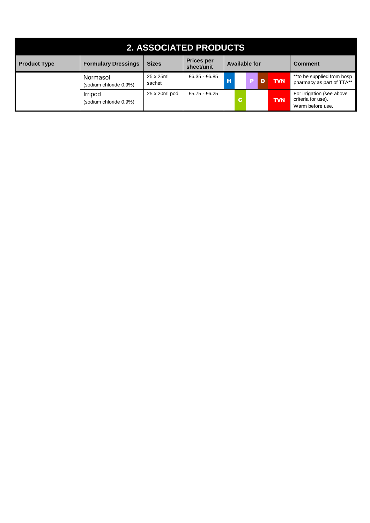| <b>2. ASSOCIATED PRODUCTS</b> |                                    |                     |                                 |   |    |                      |            |                                                                     |  |  |  |  |
|-------------------------------|------------------------------------|---------------------|---------------------------------|---|----|----------------------|------------|---------------------------------------------------------------------|--|--|--|--|
| <b>Product Type</b>           | <b>Formulary Dressings</b>         | <b>Sizes</b>        | <b>Prices per</b><br>sheet/unit |   |    | <b>Available for</b> |            | <b>Comment</b>                                                      |  |  |  |  |
|                               | Normasol<br>(sodium chloride 0.9%) | 25 x 25ml<br>sachet | £6.35 - £6.85                   | н |    |                      | <b>TVN</b> | **to be supplied from hosp<br>pharmacy as part of TTA**             |  |  |  |  |
|                               | Irripod<br>(sodium chloride 0.9%)  | 25 x 20ml pod       | £5.75 - £6.25                   |   | C. |                      | <b>TVN</b> | For irrigation (see above<br>criteria for use).<br>Warm before use. |  |  |  |  |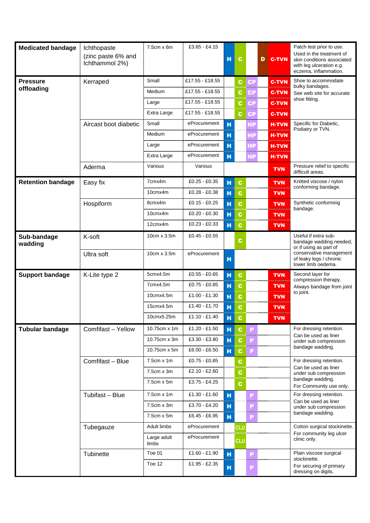| <b>Medicated bandage</b>      | Ichthopaste<br>(zinc paste 6% and<br>Ichthammol 2%) | $7.5cm \times 6m$                                                        | £3.65 $-E4.15$                                                                      | н                     | $\mathbf{c}$                         |                      | D | <b>C-TVN</b>                                                               | Patch test prior to use.<br>Used in the treatment of<br>skin conditions associated<br>with leg ulceration e.g.<br>eczema, inflammation.                                  |
|-------------------------------|-----------------------------------------------------|--------------------------------------------------------------------------|-------------------------------------------------------------------------------------|-----------------------|--------------------------------------|----------------------|---|----------------------------------------------------------------------------|--------------------------------------------------------------------------------------------------------------------------------------------------------------------------|
| <b>Pressure</b><br>offloading | Kerraped                                            | Small<br>Medium<br>Large<br>Extra Large                                  | £17.55 - £18.55<br>£17.55 - £18.55<br>£17.55 - £18.55<br>£17.55 - £18.55            |                       | C.<br>С<br>C<br>c                    | CP<br>СP<br>СP<br>СP |   | <b>C-TVN</b><br><b>C-TVN</b><br><b>C-TVN</b><br><b>C-TVN</b>               | Shoe to accommodate<br>bulky bandages.<br>See web site for accurate<br>shoe fitting.                                                                                     |
|                               | Aircast boot diabetic<br>Aderma                     | Small<br>Medium<br>Large<br>Extra Large<br>Various                       | eProcurement<br>eProcurement<br>eProcurement<br>eProcurement<br>Various             | н<br>н<br>н<br>н      |                                      | НP<br>НP<br>HP<br>НP |   | <b>H-TVN</b><br><b>H-TVN</b><br><b>H-TVN</b><br><b>H-TVN</b><br><b>TVN</b> | Specific for Diabetic,<br>Podiatry or TVN.<br>Pressure relief to specific<br>difficult areas.                                                                            |
| <b>Retention bandage</b>      | Easy fix<br>Hospiform                               | 7cmx4m<br>10cmx4m<br>8cmx4m<br>10cmx4m                                   | £0.25 - £0.35<br>£0.28 - £0.38<br>£0.15 - £0.25<br>£0.20 - £0.30                    | н<br>н<br>н<br>н      | $\mathbf c$<br>c<br>$\mathbf c$<br>C |                      |   | <b>TVN</b><br><b>TVN</b><br><b>TVN</b><br>TVN                              | Knitted viscose / nylon<br>conforming bandage.<br>Synthetic conforming<br>bandage.                                                                                       |
| Sub-bandage<br>wadding        | K-soft<br>Ultra soft                                | 12cmx4m<br>10cm x 3.5m<br>10cm x 3.5m                                    | £0.23 - £0.33<br>£0.45 - £0.55<br>eProcurement                                      | н<br>н                | C<br><b>TVN</b><br>C                 |                      |   |                                                                            | Useful if extra sub-<br>bandage wadding needed,<br>or if using as part of<br>conservative management<br>of leaky legs / chronic<br>lower limb oedema.                    |
| <b>Support bandage</b>        | K-Lite type 2                                       | 5cmx4.5m<br>7cmx4.5m<br>10cmx4.5m<br>15cmx4.5m<br>10cmx5.25m             | £0.55 - £0.65<br>£0.75 - £0.85<br>£1.00 - £1.30<br>£1.40 - £1.70<br>$£1.10 - £1.40$ | н<br>н<br>н<br>н<br>н | $\mathbf c$<br>C<br>C<br>C<br>C.     |                      |   | <b>TVN</b><br><b>TVN</b><br>TVN<br><b>TVN</b><br>TVN                       | Second layer for<br>compression therapy.<br>Always bandage from joint<br>to joint.                                                                                       |
| <b>Tubular bandage</b>        | Comfifast - Yellow<br>Comfifast - Blue              | 10.75cm x 1m<br>10.75cm x 3m<br>10.75cm x 5m<br>7.5cm x 1m<br>7.5cm x 3m | £1.20 - £1.50<br>£3.30 - £3.80<br>£6.00 - £6.50<br>£0.75 - £0.85<br>£2.10 $-E2.60$  | н<br>н<br>н           | C<br>C.<br><b>C</b><br>C<br>C.       | P<br>P<br>P          |   |                                                                            | For dressing retention.<br>Can be used as liner<br>under sub compression<br>bandage wadding.<br>For dressing retention.<br>Can be used as liner<br>under sub compression |
|                               | Tubifast - Blue                                     | 7.5cm x 5m<br>$7.5cm \times 1m$<br>7.5cm x 3m<br>7.5cm x 5m              | £3.75 - £4.25<br>$£1.30 - £1.60$<br>£3.70 - £4.20<br>£6.45 - £6.95                  | н<br>н<br>н           | C.                                   | P<br>P<br>P          |   |                                                                            | bandage wadding.<br>For Community use only.<br>For dressing retention.<br>Can be used as liner<br>under sub compression<br>bandage wadding.                              |
|                               | Tubegauze<br>Tubinette                              | Adult limbs<br>Large adult<br>limbs<br>Toe 01<br>Toe 12                  | eProcurement<br>eProcurement<br>£1.60 - £1.90<br>£1.95 - £2.35                      | н<br>н                | <b>CLU</b><br><b>CLU</b>             | P<br>P               |   |                                                                            | Cotton surgical stockinette.<br>For community leg ulcer<br>clinic only.<br>Plain viscose surgical<br>stockinette.<br>For securing of primary<br>dressing on digits.      |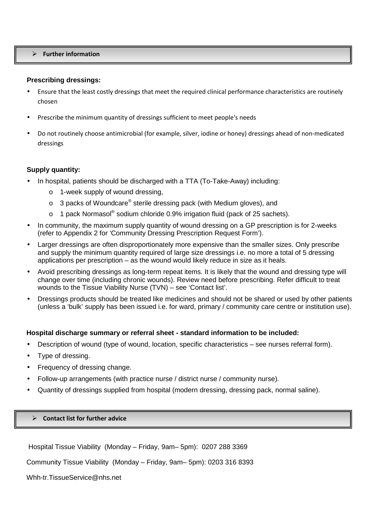#### **Further information**

#### **Prescribing dressings:**

- Ensure that the least costly dressings that meet the required clinical performance characteristics are routinely chosen
- Prescribe the minimum quantity of dressings sufficient to meet people's needs
- Do not routinely choose antimicrobial (for example, silver, iodine or honey) dressings ahead of non-medicated dressings

#### **Supply quantity:**

- In hospital, patients should be discharged with a TTA (To-Take-Away) including:
	- o 1-week supply of wound dressing,
	- $\circ$  3 packs of Woundcare® sterile dressing pack (with Medium gloves), and
	- o 1 pack Normasol<sup>®</sup> sodium chloride 0.9% irrigation fluid (pack of 25 sachets).
- In community, the maximum supply quantity of wound dressing on a GP prescription is for 2-weeks (refer to Appendix 2 for 'Community Dressing Prescription Request Form').
- Larger dressings are often disproportionately more expensive than the smaller sizes. Only prescribe and supply the minimum quantity required of large size dressings i.e. no more a total of 5 dressing applications per prescription – as the wound would likely reduce in size as it heals.
- Avoid prescribing dressings as long-term repeat items. It is likely that the wound and dressing type will change over time (including chronic wounds). Review need before prescribing. Refer difficult to treat wounds to the Tissue Viability Nurse (TVN) – see 'Contact list'.
- Dressings products should be treated like medicines and should not be shared or used by other patients (unless a 'bulk' supply has been issued i.e. for ward, primary / community care centre or institution use).

#### **Hospital discharge summary or referral sheet - standard information to be included:**

- Description of wound (type of wound, location, specific characteristics see nurses referral form).
- Type of dressing.
- Frequency of dressing change.
- Follow-up arrangements (with practice nurse / district nurse / community nurse).
- Quantity of dressings supplied from hospital (modern dressing, dressing pack, normal saline).

#### **Contact list for further advice**

Hospital Tissue Viability (Monday – Friday, 9am– 5pm): 0207 288 3369

Community Tissue Viability (Monday – Friday, 9am– 5pm): 0203 316 8393

Whh-tr.TissueService@nhs.net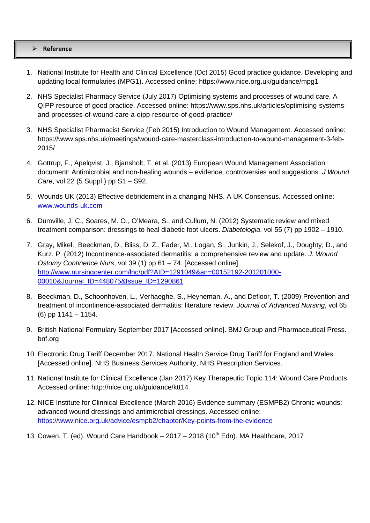#### **Reference**

- 1. National Institute for Health and Clinical Excellence (Oct 2015) Good practice guidance. Developing and updating local formularies (MPG1). Accessed online: https://www.nice.org.uk/guidance/mpg1
- 2. NHS Specialist Pharmacy Service (July 2017) Optimising systems and processes of wound care. A QIPP resource of good practice. Accessed online: https://www.sps.nhs.uk/articles/optimising-systemsand-processes-of-wound-care-a-qipp-resource-of-good-practice/
- 3. NHS Specialist Pharmacist Service (Feb 2015) Introduction to Wound Management. Accessed online: https://www.sps.nhs.uk/meetings/wound-care-masterclass-introduction-to-wound-management-3-feb-2015/
- 4. Gottrup, F., Apelqvist, J., Bjansholt, T. et al. (2013) European Wound Management Association document: Antimicrobial and non-healing wounds – evidence, controversies and suggestions. J Wound Care, vol 22 (5 Suppl.) pp S1 – S92.
- 5. Wounds UK (2013) Effective debridement in a changing NHS. A UK Consensus. Accessed online: www.wounds-uk.com
- 6. Dumville, J. C., Soares, M. O., O'Meara, S., and Cullum, N. (2012) Systematic review and mixed treatment comparison: dressings to heal diabetic foot ulcers. Diabetologia, vol 55 (7) pp 1902 – 1910.
- 7. Gray, Mikel., Beeckman, D., Bliss, D. Z., Fader, M., Logan, S., Junkin, J., Selekof, J., Doughty, D., and Kurz. P. (2012) Incontinence-associated dermatitis: a comprehensive review and update. J. Wound Ostomy Continence Nurs, vol 39 (1) pp 61 – 74. [Accessed online] http://www.nursingcenter.com/lnc/pdf?AID=1291049&an=00152192-201201000- 00010&Journal\_ID=448075&Issue\_ID=1290861
- 8. Beeckman, D., Schoonhoven, L., Verhaeghe, S., Heyneman, A., and Defloor, T. (2009) Prevention and treatment of incontinence-associated dermatitis: literature review. Journal of Advanced Nursing, vol 65 (6) pp 1141 – 1154.
- 9. British National Formulary September 2017 [Accessed online]. BMJ Group and Pharmaceutical Press. bnf.org
- 10. Electronic Drug Tariff December 2017. National Health Service Drug Tariff for England and Wales. [Accessed online]. NHS Business Services Authority, NHS Prescription Services.
- 11. National Institute for Clinical Excellence (Jan 2017) Key Therapeutic Topic 114: Wound Care Products. Accessed online: http://nice.org.uk/guidance/ktt14
- 12. NICE Institute for Clinnical Excellence (March 2016) Evidence summary (ESMPB2) Chronic wounds: advanced wound dressings and antimicrobial dressings. Accessed online: https://www.nice.org.uk/advice/esmpb2/chapter/Key-points-from-the-evidence
- 13. Cowen, T. (ed). Wound Care Handbook  $-2017 2018$  (10<sup>th</sup> Edn). MA Healthcare, 2017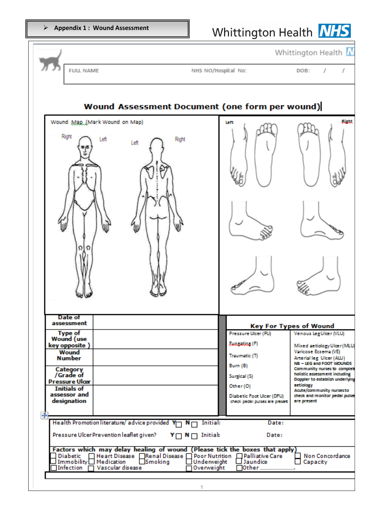|                                                                                                                                                                                                                                                                                                                                                                                                                                     |                                                                                                                                                               | Whittington Health N                                                                                                                                                                                                                                                                                                                |
|-------------------------------------------------------------------------------------------------------------------------------------------------------------------------------------------------------------------------------------------------------------------------------------------------------------------------------------------------------------------------------------------------------------------------------------|---------------------------------------------------------------------------------------------------------------------------------------------------------------|-------------------------------------------------------------------------------------------------------------------------------------------------------------------------------------------------------------------------------------------------------------------------------------------------------------------------------------|
| <b>FULL NAME</b>                                                                                                                                                                                                                                                                                                                                                                                                                    | NHS NO/Hospital No:                                                                                                                                           | DOB:<br>1                                                                                                                                                                                                                                                                                                                           |
| <b>Wound Assessment Document (one form per wound)</b>                                                                                                                                                                                                                                                                                                                                                                               |                                                                                                                                                               |                                                                                                                                                                                                                                                                                                                                     |
| Wound Map (Mark Wound on Map)<br>Right<br>Left<br>Right<br>Left<br>Ω<br>റ                                                                                                                                                                                                                                                                                                                                                           | left                                                                                                                                                          | <b>Bight</b>                                                                                                                                                                                                                                                                                                                        |
| Date of<br>assessment                                                                                                                                                                                                                                                                                                                                                                                                               |                                                                                                                                                               | <b>Key For Types of Wound</b>                                                                                                                                                                                                                                                                                                       |
| <b>Type of</b><br><b>Wound</b> (use<br>key opposite)<br>Wound<br><b>Number</b><br>Category<br>/Grade of<br><b>Pressure Ulcer</b><br><b>Initials of</b><br>assessor and<br>designation                                                                                                                                                                                                                                               | Pressure Ulcer (PU)<br>Eungating (F)<br>Traumatic (T)<br>Burn (B)<br>Surgical (S)<br>Other (O)<br>Diabetic Foot Ulcer (DFU)<br>check pedal pulses are present | Venous LegUlter (VLU)<br>Mixed actiology Ulcer (MLU)<br>Varicose Eczema (VE)<br>Arterial leg Ulcer (ALU)<br>NB - LEG and FOOT WOUNDS<br>Community nurses to complete<br>holistic assessment including<br>Doppler to establish underlying<br>actiology<br>Acute/community nurses to<br>check and monitor pedal pulses<br>are present |
| Health Promotion literature/advice provided Y<br><b>Initial:</b><br>¬ N⊓<br>Pressure Ulcer Prevention leaflet given?<br>$Y \cap N \cap$ Initial:<br>Factors which may delay healing of wound (Please tick the boxes that apply)<br>Diabetic   Heart Disease   Renal Disease   Poor Nutrition   Palliative Care<br>Immobility□ Medication<br>$\Box$ Smoking<br>$\Box$ Underweight<br>Infection $\Box$ Vascular disease<br>Overweight | Date:<br>Date:<br>$\Box$ Jaundice<br>l0ther                                                                                                                   | Non Concordance<br>Capacity                                                                                                                                                                                                                                                                                                         |
|                                                                                                                                                                                                                                                                                                                                                                                                                                     |                                                                                                                                                               |                                                                                                                                                                                                                                                                                                                                     |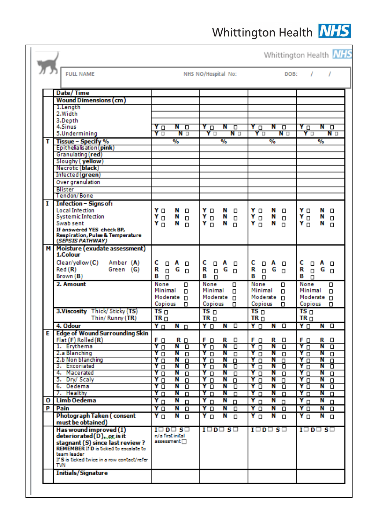|   | <b>FULL NAME</b>                                                           |                                                     |               |                           | NHS NO/Hospital No: |                                 |               |                         |                                 |               | DOB:                 |                       | ,                               | $\prime$                    |
|---|----------------------------------------------------------------------------|-----------------------------------------------------|---------------|---------------------------|---------------------|---------------------------------|---------------|-------------------------|---------------------------------|---------------|----------------------|-----------------------|---------------------------------|-----------------------------|
|   |                                                                            |                                                     |               |                           |                     |                                 |               |                         |                                 |               |                      |                       |                                 |                             |
|   | Date/Time                                                                  |                                                     |               |                           |                     |                                 |               |                         |                                 |               |                      |                       |                                 |                             |
|   | <b>Wound Dimensions (cm)</b>                                               |                                                     |               |                           |                     |                                 |               |                         |                                 |               |                      |                       |                                 |                             |
|   | 1.Length                                                                   |                                                     |               |                           |                     |                                 |               |                         |                                 |               |                      |                       |                                 |                             |
|   | 2.Width                                                                    |                                                     |               |                           |                     |                                 |               |                         |                                 |               |                      |                       |                                 |                             |
|   | 3.Depth                                                                    |                                                     |               |                           |                     |                                 |               |                         |                                 |               |                      |                       |                                 |                             |
|   | 4.Sinus                                                                    | ΥD                                                  | Ν             | $\Box$                    |                     | ΥО                              | N             | $\Box$                  | $\Box$                          | Ν             | $\overline{\square}$ | Υū                    |                                 | $N$ $\Box$                  |
|   | 5.Undermining                                                              | Y⊡                                                  |               | N D                       |                     | Υ□                              |               | N O                     | Y⊡                              |               | N O                  |                       | Y⊡                              | N o                         |
| т | Tissue - Specify %                                                         |                                                     | $\frac{9}{6}$ |                           |                     |                                 | $\frac{9}{6}$ |                         |                                 | $\frac{9}{6}$ |                      |                       | $\frac{9}{6}$                   |                             |
|   | Epithelialisation (pink)                                                   |                                                     |               |                           |                     |                                 |               |                         |                                 |               |                      |                       |                                 |                             |
|   | Granulating (red)                                                          |                                                     |               |                           |                     |                                 |               |                         |                                 |               |                      |                       |                                 |                             |
|   | Sloughy (yellow)                                                           |                                                     |               |                           |                     |                                 |               |                         |                                 |               |                      |                       |                                 |                             |
|   | Necrotic (black)                                                           |                                                     |               |                           |                     |                                 |               |                         |                                 |               |                      |                       |                                 |                             |
|   | Intected (green)                                                           |                                                     |               |                           |                     |                                 |               |                         |                                 |               |                      |                       |                                 |                             |
|   | Over granulation                                                           |                                                     |               |                           |                     |                                 |               |                         |                                 |               |                      |                       |                                 |                             |
|   | <b>Blister</b><br><b>Tendon/Bone</b>                                       |                                                     |               |                           |                     |                                 |               |                         |                                 |               |                      |                       |                                 |                             |
|   |                                                                            |                                                     |               |                           |                     |                                 |               |                         |                                 |               |                      |                       |                                 |                             |
| 1 | Infection – Signs of:<br><b>Local Intection</b>                            | Yо                                                  | Ν             |                           |                     |                                 | N             |                         |                                 | N             |                      | YΟ                    |                                 | N                           |
|   | <b>Systemic Infection</b>                                                  | Υo                                                  | Ν             | О<br>$\Box$               |                     | YΟ<br>Y o                       | Ν             | Ο<br>$\Box$             | YΟ<br>Y <sub>D</sub>            | Ν             | о                    | Y O                   |                                 | о<br>Ν                      |
|   | Swab sent                                                                  | Υŋ                                                  | Ν             | п                         |                     | Υŋ                              | Ν             | n.                      | $Y_{\Box}$                      | N             | $\Box$<br>n          | $Y_{\Box}$            |                                 | $\Box$<br>Ν<br>$\Box$       |
|   | If answered YES check BP,                                                  |                                                     |               |                           |                     |                                 |               |                         |                                 |               |                      |                       |                                 |                             |
|   | <b>Respiration, Pulse &amp; Temperature</b>                                |                                                     |               |                           |                     |                                 |               |                         |                                 |               |                      |                       |                                 |                             |
|   | (SEPSIS PATHWAY)                                                           |                                                     |               |                           |                     |                                 |               |                         |                                 |               |                      |                       |                                 |                             |
|   | M Moisture (exudate assessment)                                            |                                                     |               |                           |                     |                                 |               |                         |                                 |               |                      |                       |                                 |                             |
|   | 1.Colour                                                                   |                                                     |               |                           |                     |                                 |               |                         |                                 |               |                      |                       |                                 |                             |
|   | Clear/yellow (C)<br>Amber (A)                                              | c<br>$\Box$                                         | A             | О                         | c                   | $\Box$ A                        |               | ο                       | C                               | $\Box$ A      | $\Box$               | c                     | Ο                               | A<br>о                      |
|   | Red (R)<br>Green (G)                                                       | R<br>Ο                                              | G             | $\Box$                    | R                   | $\Box$                          | G             | $\Box$                  | R<br>$\Box$                     | G             | $\Box$               | R                     | $\Box$                          | G<br>$\Box$                 |
|   | Brown (B)                                                                  | в<br>п                                              |               |                           | в                   | п                               |               |                         | в<br>п                          |               |                      | В                     | п                               |                             |
|   | 2. Amount                                                                  | None                                                |               | О                         |                     | None                            |               | α                       | <b>None</b>                     |               | α                    | None                  |                                 | α                           |
|   |                                                                            | Minimal<br>Moderate O                               |               | $\Box$                    |                     | Minimal<br>Moderate O           |               | $\Box$                  | Minimal<br>Moderate D           |               | $\Box$               |                       | Minimal<br>Moderate O           | $\Box$                      |
|   |                                                                            | Copious                                             |               | 0                         |                     | Copious                         |               | 0                       | Copious                         |               | 0                    |                       | Copious                         | 0                           |
|   | 3. Viscosity Thick/Sticky (TS)                                             | TS <sub>0</sub>                                     |               |                           |                     | TS <sub>0</sub>                 |               |                         | TS <sub>0</sub>                 |               |                      | TS <sub>0</sub>       |                                 |                             |
|   | Thin/Runny (TR)                                                            | TR <sub>D</sub>                                     |               |                           |                     | TR <sub>0</sub>                 |               |                         | TR <sub>D</sub>                 |               |                      | TR <sub>0</sub>       |                                 |                             |
|   | 4. Odour                                                                   | $Y \Box$                                            | $N \Box$      |                           |                     | Y O                             | $N$ $\Box$    |                         | $Y$ $\Box$                      |               | $N$ $\Box$           | YO                    |                                 | $N$ $\Box$                  |
| Е | <b>Edge of Wound Surrounding Skin</b>                                      |                                                     |               |                           |                     |                                 |               |                         |                                 |               |                      |                       |                                 |                             |
|   | Flat (F) Rolled (R)                                                        | F O                                                 |               | R □                       |                     | F O                             | R             | ο                       | F D                             | R             | $\Box$               | Fо                    |                                 | R<br>о                      |
|   | 1. Erythema                                                                | Y O                                                 |               | $N$ $\Box$                |                     | Υū                              | N             | □                       | $Y$ $\Box$                      | Ν             | □                    | $Y$ $\Box$            |                                 | $N$ $\Box$                  |
|   | 2.a Blanching                                                              | Υū                                                  | Ν             | $\overline{\square}$      |                     | Υū                              | N             | $\overline{\square}$    | $Y$ $\Box$                      | Ν             | $\Box$               | Y <sub>0</sub>        |                                 | Ν<br>$\boxed{\blacksquare}$ |
|   | 2.b Non blanching                                                          | Υū                                                  | Ν             | $\overline{\square}$      |                     | Υū                              | Ν             | $\overline{\square}$    | $Y_{\Box}$                      | Ν             | $\Box$               | $Y_{\Box}$            |                                 | Ν<br>$\Box$                 |
|   | 3. Excoriated                                                              | Υū                                                  | Ν             | $\overline{\square}$      |                     | Y O                             | N             | $\overline{\mathsf{d}}$ | $Y_{\Box}$                      | Ν             | O                    | Y <sub>0</sub>        |                                 | Ν<br>靣                      |
|   | 4. Macerated                                                               | Υū                                                  | Ν             | $\overline{\blacksquare}$ |                     | Υū                              | Ν             | $\overline{\mathsf{d}}$ | Y<br>$\overline{\square}$       | Ν             | $\Box$               | Y O                   |                                 | Ν<br>$\overline{\square}$   |
|   | 5. Dry/ Scaly                                                              | Υπ                                                  | Ν             | $\overline{\square}$      |                     | Υπ                              | Ν             | $\Box$                  | Υ<br>□                          | Ν             | $\overline{\square}$ | Υū                    |                                 | Ν<br>$\overline{\square}$   |
|   | 6. Oedema                                                                  | Υπ                                                  | Ν             | □                         |                     | Υū                              | Ν             | □                       | ΥO                              | Ν             | □                    | ΥO                    |                                 | Ν<br>□                      |
|   | 7. Healthy                                                                 | Υū                                                  | Ν             | $\Box$                    |                     | Υπ                              | Ν             | $\overline{\square}$    | Y<br>$\Box$                     | Ν             | $\overline{\square}$ | Υū                    |                                 | Ν<br>$\overline{\square}$   |
| o | Limb Oedema                                                                | $Y_{\Box}$                                          | Ν             | $\Box$                    |                     | $Y_{\Box}$                      | N             | $\Box$                  | $Y_{\Box}$                      | Ν             | $\Box$               | $\overline{Y}$ $\Box$ |                                 | Ν<br>$\Box$                 |
| P | Pain                                                                       | Y O                                                 | N             | $\Box$                    |                     | Y O                             | N             | 0                       | Y O                             | N             | О                    | Y O                   |                                 | N<br>$\Box$                 |
|   | Photograph Taken (consent<br>must be obtained)                             | ΥD                                                  |               | $N$ $\Box$                |                     | Y O                             | N             | $\Box$                  | Y O                             | N             | $\Box$               | ΥD                    |                                 | $N$ $\Box$                  |
|   | Has wound improved (I)<br>deteriorated (D). or is it                       | $I \square D \square S \square$<br>n/a first inital |               |                           |                     | $I \square D \square S \square$ |               |                         | $I \square D \square S \square$ |               |                      |                       | $I \square D \square S \square$ |                             |
|   | stagnant (S) since last review ?<br>REMEMBER If D is ticked to escalate to | assessment $\Box$                                   |               |                           |                     |                                 |               |                         |                                 |               |                      |                       |                                 |                             |
|   | team leader:<br>If S is ticked twice in a row contact/refer-<br>TVN        |                                                     |               |                           |                     |                                 |               |                         |                                 |               |                      |                       |                                 |                             |
|   |                                                                            |                                                     |               |                           |                     |                                 |               |                         |                                 |               |                      |                       |                                 |                             |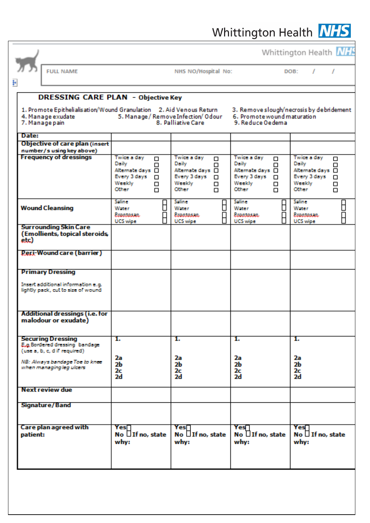|          |                                                                                            |                                                                                                   |                                                                                                        |                                                                                                        | Whittington Health <b>NIFE</b>                                                                      |
|----------|--------------------------------------------------------------------------------------------|---------------------------------------------------------------------------------------------------|--------------------------------------------------------------------------------------------------------|--------------------------------------------------------------------------------------------------------|-----------------------------------------------------------------------------------------------------|
|          | <b>FULL NAME</b>                                                                           |                                                                                                   | NHS NO/Hospital No:                                                                                    |                                                                                                        | DOB:<br>,                                                                                           |
| H        |                                                                                            |                                                                                                   |                                                                                                        |                                                                                                        |                                                                                                     |
|          | <b>DRESSING CARE PLAN - Objective Key</b>                                                  |                                                                                                   |                                                                                                        |                                                                                                        |                                                                                                     |
|          | 1. Promote Epithelialisation/Wound Granulation 2. Aid Venous Return<br>4. Manage exudate   |                                                                                                   | 5. Manage / Remove Infection/ Odour                                                                    | 6. Promote wound maturation                                                                            | 3. Remove slough/necrosis by debridement                                                            |
| Date:    | 7. Managepain                                                                              |                                                                                                   | 8. Palliative Care                                                                                     | 9. Reduce Oedema                                                                                       |                                                                                                     |
|          | <b>Objective of care plan (insert</b>                                                      |                                                                                                   |                                                                                                        |                                                                                                        |                                                                                                     |
|          | number/s using key above)<br><b>Frequency of dressings</b>                                 | Twice a day                                                                                       | Twice a day                                                                                            | Twice a day                                                                                            | Twice a day                                                                                         |
|          |                                                                                            | $\Box$<br>Daily<br>п<br>Alternate days □<br>Every 3 days<br>□<br>Weekly<br>Ο<br><b>Other</b><br>n | $\Box$<br>Daily<br>$\Box$<br>Alternate days □<br>Every 3 days<br>0<br>Weekly<br>□<br><b>Other</b><br>□ | $\Box$<br>Daily<br>п<br>Alternate days □<br>Every 3 days<br>$\Box$<br>Weekly<br>Ο<br><b>Other</b><br>n | □<br><b>Daily</b><br>□<br>Alternate days □<br>Every 3 days<br>□<br>Weekly<br>□<br><b>Other</b><br>□ |
|          | <b>Wound Cleansing</b>                                                                     | Saline<br>Water<br>Prontosan.<br><b>UCS</b> wipe                                                  | <b>Saline</b><br>H<br>Water<br>Prontosan.<br><b>UCS</b> wipe                                           | Saline<br>Water<br>Proptosan.<br><b>UCS</b> wipe                                                       | Saline<br>₿<br>Water<br>A<br>Proptosan.<br><b>UCS</b> wipe                                          |
| etc)     | <b>Surrounding Skin Care</b><br>(Emollients, topical steroids,                             |                                                                                                   |                                                                                                        |                                                                                                        |                                                                                                     |
|          | Peri-Wound care (barrier)                                                                  |                                                                                                   |                                                                                                        |                                                                                                        |                                                                                                     |
|          | <b>Primary Dressing</b>                                                                    |                                                                                                   |                                                                                                        |                                                                                                        |                                                                                                     |
|          | Insert additional information e.g.<br>lightly pack, cut to size of wound                   |                                                                                                   |                                                                                                        |                                                                                                        |                                                                                                     |
|          | Additional dressings (i.e. for<br>malodour or exudate)                                     |                                                                                                   |                                                                                                        |                                                                                                        |                                                                                                     |
|          | <b>Securing Dressing</b><br>E.g. Bordered dressing bandage<br>(use a, b, c, d if required) | 1.                                                                                                | 1.                                                                                                     | 1.                                                                                                     | 1.                                                                                                  |
|          | NB: Always bandage Toe to knee<br>when managingleg ulcers                                  | 2a<br>2b<br>2c<br>2d                                                                              | 2а<br>2Ь<br>2c<br>2d                                                                                   | 2а<br>2b<br>2c<br>2d                                                                                   | 2a<br>2Ь<br>2c<br>2d                                                                                |
|          | <b>Next review due</b>                                                                     |                                                                                                   |                                                                                                        |                                                                                                        |                                                                                                     |
|          | <b>Signature/Band</b>                                                                      |                                                                                                   |                                                                                                        |                                                                                                        |                                                                                                     |
| patient: | <b>Care plan agreed with</b>                                                               | Yes∏<br>No $\Box$ If no, state<br>why:                                                            | Yes∏<br>No $\Box$ If no, state<br>why:                                                                 | Yes∏<br>No $\Box$ If no, state<br>why:                                                                 | Yes 1<br>No $\Box$ If no, state<br>why:                                                             |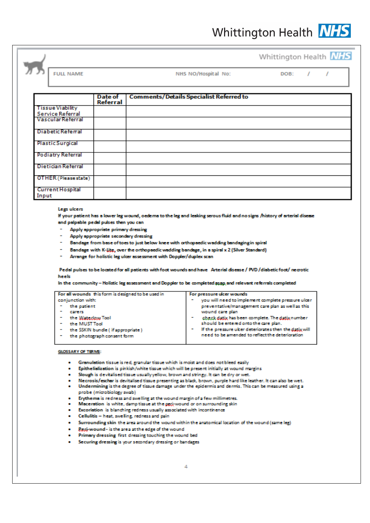**FULL NAME** 

NHS NO/Hospital No:

DOB:  $\mathcal{L}$   $\overline{I}$ 

|                          | <b>Date of</b> | <b>Comments/Details Specialist Referred to</b> |
|--------------------------|----------------|------------------------------------------------|
|                          | Referral       |                                                |
| <b>Tissue Viability</b>  |                |                                                |
| Service Referral         |                |                                                |
| <b>Vascular Referral</b> |                |                                                |
| Diabetic Referral        |                |                                                |
| <b>Plastic Surgical</b>  |                |                                                |
| <b>Podiatry Referral</b> |                |                                                |
| Dietician Referral       |                |                                                |
| OTHER (Please state)     |                |                                                |
| <b>Current Hospital</b>  |                |                                                |
| Input                    |                |                                                |

#### Legs ulcers

If your patient has a lower leg wound, oederns to the leg and leaking serous fluid and no signs /history of arterial disease and palpable pedal pulses then you can

- Apply appropriate primary dressing
- Apply appropriate secondary dressing
- Bandage from base of toes to just below knee with orthopaedic wadding bandaging in spiral
- Bandage with K-Lite, over the orthopaedic wadding bandage, in a spiral x 2 (Silver Standard)
- Arrange for holistic leg ulcer assessment with Doppler/duplex scan  $\overline{a}$

Pedal pulses to be located for all patients with foot wounds and have Arterial disease / PVD /diabetic foot/ necrotic heels

In the community - Holistic leg assessment and Doppler to be completed asap and relevant referrals completed

| For all wounds this form is designed to be used in | For pressure ulcer wounds                             |
|----------------------------------------------------|-------------------------------------------------------|
| conjunction with:                                  | you will need to implement complete pressure ulcer    |
| the patient                                        | preventative/management care plan as well as this     |
| carers                                             | wound care plan                                       |
| the Waterlaw Tool                                  | check datix has been complete. The datix number       |
| the MUST Tool                                      | should be entered onto the care plan.                 |
| the SSKIN bundle (if appropriate)                  | If the pressure uber deteriorates then the datix will |
| the photograph consent form                        | need to be amended to reflect the deterioration.      |
|                                                    |                                                       |

#### **GLOSSARY OF TERMS:**

- Granulation tissue is red, granular tissue which is moist and does not bleed easily
- Epithelialization is pinkish/white tissue which will be present initially at wound margins
- Slough is devitalised tissue usually yellow, brown and stringy. It can be dry or wet.
- Necrosis/eschar is devitalised tissue presenting as black, brown, purple hard like leather. It can also be wet.
- Undermining is the degree of tissue damage under the epidermis and dermis. This can be measured using a probe (microbiology swab)
- Erythema is redness and swelling at the wound margin of a few millimetres.
- Maceration is white, damp tissue at the peri-wound or on surrounding skin
- Excoriation is blanching redness usually associated with incontinence
- Cellulitis heat, swelling, redness and pain
- Surrounding skin the area around the wound within the anatomical location of the wound (same leg)
- Pegi-wound is the area at the edge of the wound
- Primary dressing first dressing touching the wound bed
- Securing dressing is your secondary dressing or bandages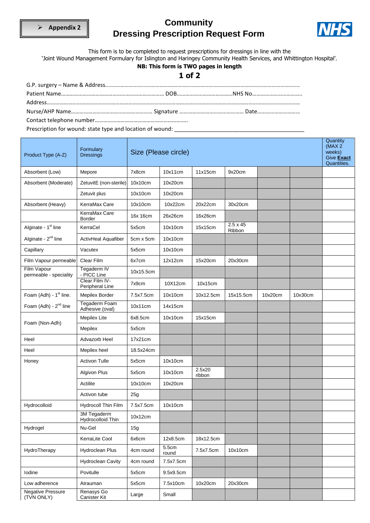

# **Community Dressing Prescription Request Form**



This form is to be completed to request prescriptions for dressings in line with the

'Joint Wound Management Formulary for Islington and Haringey Community Health Services, and Whittington Hospital'.

#### **NB: This form is TWO pages in length**

#### **1 of 2**

| Product Type (A-Z)                     | Formulary<br><b>Dressings</b>     |           | Size (Please circle) |                  |                           |         |         | Quantity<br>(MAX <sub>2</sub> )<br>weeks)<br>Give <b>Exact</b><br>Quantities. |
|----------------------------------------|-----------------------------------|-----------|----------------------|------------------|---------------------------|---------|---------|-------------------------------------------------------------------------------|
| Absorbent (Low)                        | Mepore                            | 7x8cm     | 10x11cm              | 11x15cm          | 9x20cm                    |         |         |                                                                               |
| Absorbent (Moderate)                   | ZetuvitE (non-sterile)            | 10x10cm   | 10x20cm              |                  |                           |         |         |                                                                               |
|                                        | Zetuvit plus                      | 10x10cm   | 10x20cm              |                  |                           |         |         |                                                                               |
| Absorbent (Heavy)                      | KerraMax Care                     | 10x10cm   | 10x22cm              | 20x22cm          | 30x20cm                   |         |         |                                                                               |
|                                        | KerraMax Care<br>Border           | 16x 16cm  | 26x26cm              | 16x26cm          |                           |         |         |                                                                               |
| Alginate - 1 <sup>st</sup> line        | KerraCel                          | 5x5cm     | 10x10cm              | 15x15cm          | $2.5 \times 45$<br>Ribbon |         |         |                                                                               |
| Alginate - 2 <sup>nd</sup> line        | ActivHeal Aquafiber               | 5cm x 5cm | 10x10cm              |                  |                           |         |         |                                                                               |
| Capillary                              | Vacutex                           | 5x5cm     | 10x10cm              |                  |                           |         |         |                                                                               |
| Film Vapour permeable                  | Clear Film                        | 6x7cm     | 12x12cm              | 15x20cm          | 20x30cm                   |         |         |                                                                               |
| Film Vapour<br>permeable - speciality  | Tegaderm IV<br>- PICC Line        | 10x15.5cm |                      |                  |                           |         |         |                                                                               |
|                                        | Clear Film IV-<br>Peripheral Line | 7x9cm     | 10X12cm              | 10x15cm          |                           |         |         |                                                                               |
| Foam (Adh) - 1 <sup>st</sup> line.     | Mepilex Border                    | 7.5x7.5cm | 10x10cm              | 10x12.5cm        | 15x15.5cm                 | 10x20cm | 10x30cm |                                                                               |
| Foam (Adh) - 2 <sup>nd</sup> line      | Tegaderm Foam<br>Adhesive (oval)  | 10x11cm   | 14x15cm              |                  |                           |         |         |                                                                               |
| Foam (Non-Adh)                         | <b>Mepilex Lite</b>               | 6x8.5cm   | 10x10cm              | 15x15cm          |                           |         |         |                                                                               |
|                                        | Mepilex                           | 5x5cm     |                      |                  |                           |         |         |                                                                               |
| Heel                                   | Advazorb Heel                     | 17x21cm   |                      |                  |                           |         |         |                                                                               |
| Heel                                   | Mepilex heel                      | 18.5x24cm |                      |                  |                           |         |         |                                                                               |
| Honey                                  | <b>Activon Tulle</b>              | 5x5cm     | 10x10cm              |                  |                           |         |         |                                                                               |
|                                        | Algivon Plus                      | 5x5cm     | 10x10cm              | 2.5x20<br>ribbon |                           |         |         |                                                                               |
|                                        | Actilite                          | 10x10cm   | 10x20cm              |                  |                           |         |         |                                                                               |
|                                        | Activon tube                      | 25g       |                      |                  |                           |         |         |                                                                               |
| Hydrocolloid                           | Hydrocoll Thin Film               | 7.5x7.5cm | 10x10cm              |                  |                           |         |         |                                                                               |
|                                        | 3M Tegaderm<br>Hydrocolloid Thin  | 10x12cm   |                      |                  |                           |         |         |                                                                               |
| Hydrogel                               | Nu-Gel                            | 15g       |                      |                  |                           |         |         |                                                                               |
|                                        | KerraLite Cool                    | 6x6cm     | 12x8.5cm             | 18x12.5cm        |                           |         |         |                                                                               |
| HydroTherapy                           | Hydroclean Plus                   | 4cm round | 5.5cm<br>round       | 7.5x7.5cm        | 10x10cm                   |         |         |                                                                               |
|                                        | <b>Hydroclean Cavity</b>          | 4cm round | 7.5x7.5cm            |                  |                           |         |         |                                                                               |
| lodine                                 | Povitulle                         | 5x5cm     | 9.5x9.5cm            |                  |                           |         |         |                                                                               |
| Low adherence                          | Atrauman                          | 5x5cm     | 7.5x10cm             | 10x20cm          | 20x30cm                   |         |         |                                                                               |
| <b>Negative Pressure</b><br>(TVN ONLY) | Renasys Go<br>Canister Kit        | Large     | Small                |                  |                           |         |         |                                                                               |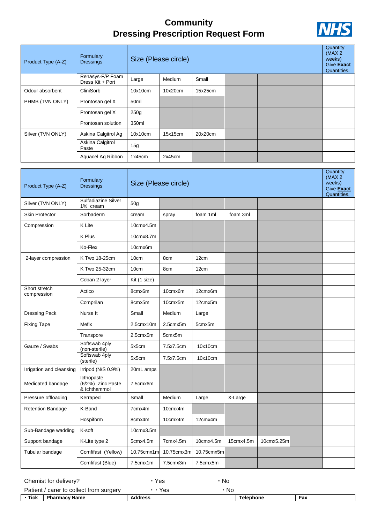# **Community Dressing Prescription Request Form**



| Product Type (A-Z) | Formulary<br><b>Dressings</b>        | Size (Please circle) |         |         |  |  | Quantity<br>(MAX <sub>2</sub> )<br>weeks)<br>Give <b>Exact</b><br>Quantities. |  |
|--------------------|--------------------------------------|----------------------|---------|---------|--|--|-------------------------------------------------------------------------------|--|
|                    | Renasys-F/P Foam<br>Dress Kit + Port | Large                | Medium  | Small   |  |  |                                                                               |  |
| Odour absorbent    | CliniSorb                            | 10x10cm              | 10x20cm | 15x25cm |  |  |                                                                               |  |
| PHMB (TVN ONLY)    | Prontosan gel X                      | 50 <sub>ml</sub>     |         |         |  |  |                                                                               |  |
|                    | Prontosan gel X                      | 250 <sub>g</sub>     |         |         |  |  |                                                                               |  |
|                    | Prontosan solution                   | 350ml                |         |         |  |  |                                                                               |  |
| Silver (TVN ONLY)  | Askina Calgitrol Ag                  | 10x10cm              | 15x15cm | 20x20cm |  |  |                                                                               |  |
|                    | Askina Calgitrol<br>Paste            | 15g                  |         |         |  |  |                                                                               |  |
|                    | Aquacel Ag Ribbon                    | 1x45cm               | 2x45cm  |         |  |  |                                                                               |  |

| Product Type (A-Z)           | Formulary<br><b>Dressings</b>                   | Size (Please circle) |            |            | Quantity<br>(MAX <sub>2</sub> )<br>weeks)<br>Give Exact<br>Quantities. |            |  |  |
|------------------------------|-------------------------------------------------|----------------------|------------|------------|------------------------------------------------------------------------|------------|--|--|
| Silver (TVN ONLY)            | Sulfadiazine Silver<br>1% cream                 | 50 <sub>q</sub>      |            |            |                                                                        |            |  |  |
| <b>Skin Protector</b>        | Sorbaderm                                       | cream                | spray      | foam 1ml   | foam 3ml                                                               |            |  |  |
| Compression                  | K Lite                                          | 10cmx4.5m            |            |            |                                                                        |            |  |  |
|                              | K Plus                                          | 10cmx8.7m            |            |            |                                                                        |            |  |  |
|                              | Ko-Flex                                         | 10cmx6m              |            |            |                                                                        |            |  |  |
| 2-layer compression          | K Two 18-25cm                                   | 10cm                 | 8cm        | 12cm       |                                                                        |            |  |  |
|                              | K Two 25-32cm                                   | 10cm                 | 8cm        | 12cm       |                                                                        |            |  |  |
|                              | Coban 2 layer                                   | Kit (1 size)         |            |            |                                                                        |            |  |  |
| Short stretch<br>compression | Actico                                          | 8cmx6m               | 10cmx6m    | 12cmx6m    |                                                                        |            |  |  |
|                              | Comprilan                                       | 8cmx5m               | 10cmx5m    | 12cmx5m    |                                                                        |            |  |  |
| Dressing Pack                | Nurse It                                        | Small                | Medium     | Large      |                                                                        |            |  |  |
| <b>Fixing Tape</b>           | Mefix                                           | 2.5cmx10m            | 2.5cmx5m   | 5cmx5m     |                                                                        |            |  |  |
|                              | Transpore                                       | 2.5cmx5m             | 5cmx5m     |            |                                                                        |            |  |  |
| Gauze / Swabs                | Softswab 4ply<br>(non-sterile)                  | 5x5cm                | 7.5x7.5cm  | 10x10cm    |                                                                        |            |  |  |
|                              | Softswab 4ply<br>(sterile)                      | 5x5cm                | 7.5x7.5cm  | 10x10cm    |                                                                        |            |  |  |
| Irrigation and cleansing     | Irripod (N/S 0.9%)                              | 20mL amps            |            |            |                                                                        |            |  |  |
| Medicated bandage            | Icthopaste<br>(6/2%) Zinc Paste<br>& Ichthammol | 7.5cmx6m             |            |            |                                                                        |            |  |  |
| Pressure offloading          | Kerraped                                        | Small                | Medium     | Large      | X-Large                                                                |            |  |  |
| <b>Retention Bandage</b>     | K-Band                                          | 7cmx4m               | 10cmx4m    |            |                                                                        |            |  |  |
|                              | Hospiform                                       | 8cmx4m               | 10cmx4m    | 12cmx4m    |                                                                        |            |  |  |
| Sub-Bandage wadding          | K-soft                                          | 10cmx3.5m            |            |            |                                                                        |            |  |  |
| Support bandage              | K-Lite type 2                                   | 5cmx4.5m             | 7cmx4.5m   | 10cmx4.5m  | 15cmx4.5m                                                              | 10cmx5.25m |  |  |
| Tubular bandage              | Comfifast (Yellow)                              | 10.75cmx1m           | 10.75cmx3m | 10.75cmx5m |                                                                        |            |  |  |
|                              | Comfifast (Blue)                                | 7.5cmx1m             | 7.5cmx3m   | 7.5cmx5m   |                                                                        |            |  |  |

| - Tick | <b>Pharmacy Name</b>                    | <b>Address</b> | <b>Telephone</b> | Fax |  |
|--------|-----------------------------------------|----------------|------------------|-----|--|
|        | Patient / carer to collect from surgery | • Yes          | .No              |     |  |
|        | Chemist for delivery?                   | Yes            | No               |     |  |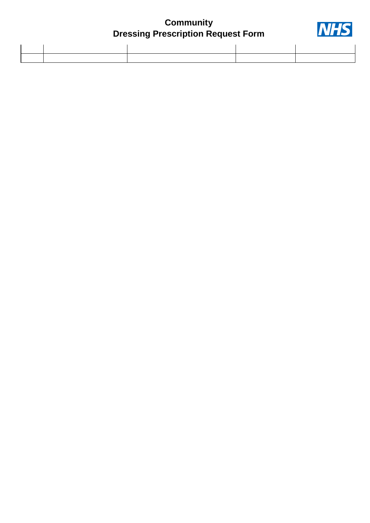# **Community Dressing Prescription Request Form**